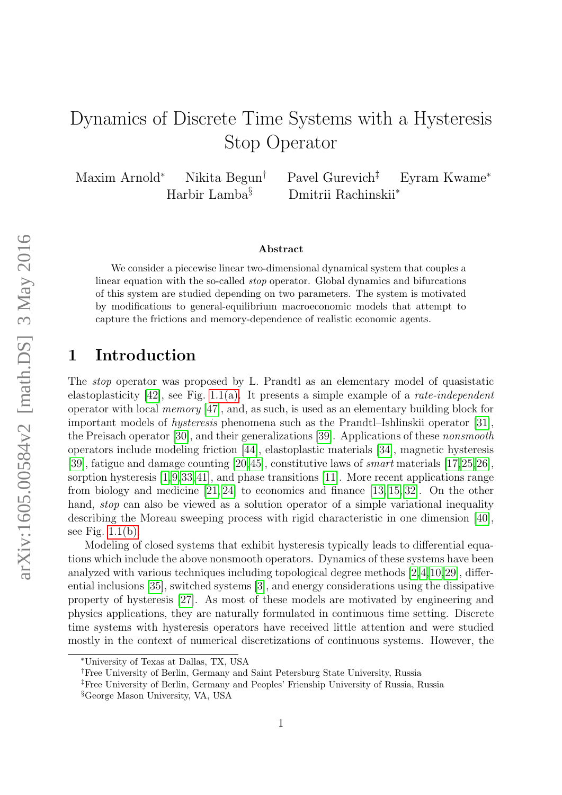# Dynamics of Discrete Time Systems with a Hysteresis Stop Operator

Maxim Arnold<sup>∗</sup> Nikita Begun† Pavel Gurevich‡ Eyram Kwame<sup>∗</sup> Harbir Lamba§ Dmitrii Rachinskii<sup>∗</sup>

#### Abstract

We consider a piecewise linear two-dimensional dynamical system that couples a linear equation with the so-called stop operator. Global dynamics and bifurcations of this system are studied depending on two parameters. The system is motivated by modifications to general-equilibrium macroeconomic models that attempt to capture the frictions and memory-dependence of realistic economic agents.

# 1 Introduction

The stop operator was proposed by L. Prandtl as an elementary model of quasistatic elastoplasticity  $[42]$ , see Fig. [1.1\(a\).](#page-1-0) It presents a simple example of a *rate-independent* operator with local memory [\[47\]](#page-25-1), and, as such, is used as an elementary building block for important models of hysteresis phenomena such as the Prandtl–Ishlinskii operator [\[31\]](#page-24-0), the Preisach operator [\[30\]](#page-24-1), and their generalizations [\[39\]](#page-25-2). Applications of these nonsmooth operators include modeling friction [\[44\]](#page-25-3), elastoplastic materials [\[34\]](#page-24-2), magnetic hysteresis [\[39\]](#page-25-2), fatigue and damage counting [\[20,](#page-23-0)[45\]](#page-25-4), constitutive laws of smart materials [\[17,](#page-23-1)[25,](#page-24-3)[26\]](#page-24-4), sorption hysteresis [\[1,](#page-22-0)[9,](#page-23-2)[33,](#page-24-5)[41\]](#page-25-5), and phase transitions [\[11\]](#page-23-3). More recent applications range from biology and medicine [\[21,](#page-24-6) [24\]](#page-24-7) to economics and finance [\[13,](#page-23-4) [15,](#page-23-5) [32\]](#page-24-8). On the other hand, *stop* can also be viewed as a solution operator of a simple variational inequality describing the Moreau sweeping process with rigid characteristic in one dimension [\[40\]](#page-25-6), see Fig. [1.1\(b\).](#page-1-0)

Modeling of closed systems that exhibit hysteresis typically leads to differential equations which include the above nonsmooth operators. Dynamics of these systems have been analyzed with various techniques including topological degree methods [\[2,](#page-22-1)[4,](#page-22-2)[10,](#page-23-6)[29\]](#page-24-9), differential inclusions [\[35\]](#page-24-10), switched systems [\[3\]](#page-22-3), and energy considerations using the dissipative property of hysteresis [\[27\]](#page-24-11). As most of these models are motivated by engineering and physics applications, they are naturally formulated in continuous time setting. Discrete time systems with hysteresis operators have received little attention and were studied mostly in the context of numerical discretizations of continuous systems. However, the

<sup>∗</sup>University of Texas at Dallas, TX, USA

<sup>†</sup>Free University of Berlin, Germany and Saint Petersburg State University, Russia

<sup>‡</sup>Free University of Berlin, Germany and Peoples' Frienship University of Russia, Russia

<sup>§</sup>George Mason University, VA, USA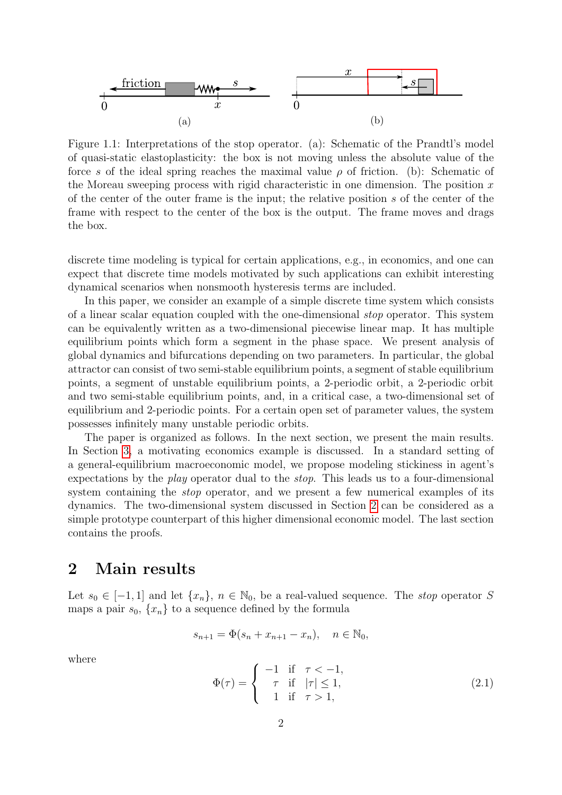<span id="page-1-0"></span>

Figure 1.1: Interpretations of the stop operator. (a): Schematic of the Prandtl's model of quasi-static elastoplasticity: the box is not moving unless the absolute value of the force s of the ideal spring reaches the maximal value  $\rho$  of friction. (b): Schematic of the Moreau sweeping process with rigid characteristic in one dimension. The position  $x$ of the center of the outer frame is the input; the relative position s of the center of the frame with respect to the center of the box is the output. The frame moves and drags the box.

discrete time modeling is typical for certain applications, e.g., in economics, and one can expect that discrete time models motivated by such applications can exhibit interesting dynamical scenarios when nonsmooth hysteresis terms are included.

In this paper, we consider an example of a simple discrete time system which consists of a linear scalar equation coupled with the one-dimensional stop operator. This system can be equivalently written as a two-dimensional piecewise linear map. It has multiple equilibrium points which form a segment in the phase space. We present analysis of global dynamics and bifurcations depending on two parameters. In particular, the global attractor can consist of two semi-stable equilibrium points, a segment of stable equilibrium points, a segment of unstable equilibrium points, a 2-periodic orbit, a 2-periodic orbit and two semi-stable equilibrium points, and, in a critical case, a two-dimensional set of equilibrium and 2-periodic points. For a certain open set of parameter values, the system possesses infinitely many unstable periodic orbits.

The paper is organized as follows. In the next section, we present the main results. In Section [3,](#page-5-0) a motivating economics example is discussed. In a standard setting of a general-equilibrium macroeconomic model, we propose modeling stickiness in agent's expectations by the play operator dual to the stop. This leads us to a four-dimensional system containing the *stop* operator, and we present a few numerical examples of its dynamics. The two-dimensional system discussed in Section [2](#page-1-1) can be considered as a simple prototype counterpart of this higher dimensional economic model. The last section contains the proofs.

# <span id="page-1-1"></span>2 Main results

Let  $s_0 \in [-1,1]$  and let  $\{x_n\}, n \in \mathbb{N}_0$ , be a real-valued sequence. The *stop* operator S maps a pair  $s_0$ ,  $\{x_n\}$  to a sequence defined by the formula

$$
s_{n+1} = \Phi(s_n + x_{n+1} - x_n), \quad n \in \mathbb{N}_0,
$$

where

<span id="page-1-2"></span>
$$
\Phi(\tau) = \begin{cases}\n-1 & \text{if } \tau < -1, \\
\tau & \text{if } |\tau| \le 1, \\
1 & \text{if } \tau > 1,\n\end{cases}
$$
\n(2.1)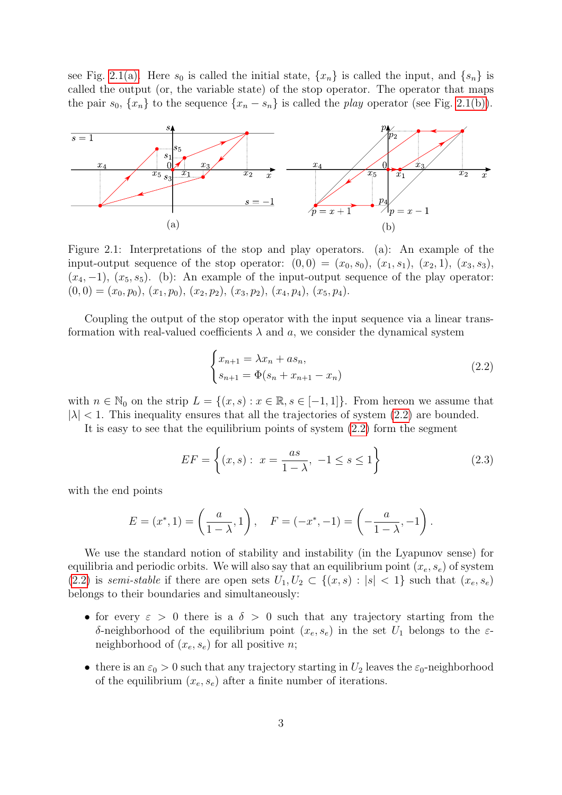see Fig. [2.1\(a\).](#page-2-0) Here  $s_0$  is called the initial state,  $\{x_n\}$  is called the input, and  $\{s_n\}$  is called the output (or, the variable state) of the stop operator. The operator that maps the pair  $s_0$ ,  $\{x_n\}$  to the sequence  $\{x_n - s_n\}$  is called the *play* operator (see Fig. [2.1\(b\)\)](#page-2-0).

<span id="page-2-0"></span>

Figure 2.1: Interpretations of the stop and play operators. (a): An example of the input-output sequence of the stop operator:  $(0, 0) = (x_0, s_0), (x_1, s_1), (x_2, 1), (x_3, s_3),$  $(x_4, -1)$ ,  $(x_5, s_5)$ . (b): An example of the input-output sequence of the play operator:  $(0, 0) = (x_0, p_0), (x_1, p_0), (x_2, p_2), (x_3, p_2), (x_4, p_4), (x_5, p_4).$ 

Coupling the output of the stop operator with the input sequence via a linear transformation with real-valued coefficients  $\lambda$  and a, we consider the dynamical system

<span id="page-2-1"></span>
$$
\begin{cases} x_{n+1} = \lambda x_n + a s_n, \\ s_{n+1} = \Phi(s_n + x_{n+1} - x_n) \end{cases}
$$
 (2.2)

with  $n \in \mathbb{N}_0$  on the strip  $L = \{(x, s) : x \in \mathbb{R}, s \in [-1, 1]\}$ . From hereon we assume that  $|\lambda|$  < 1. This inequality ensures that all the trajectories of system [\(2.2\)](#page-2-1) are bounded.

It is easy to see that the equilibrium points of system  $(2.2)$  form the segment

$$
EF = \left\{ (x, s): \ x = \frac{as}{1 - \lambda}, \ -1 \le s \le 1 \right\}
$$
 (2.3)

with the end points

$$
E = (x^*, 1) = \left(\frac{a}{1 - \lambda}, 1\right), \quad F = (-x^*, -1) = \left(-\frac{a}{1 - \lambda}, -1\right).
$$

We use the standard notion of stability and instability (in the Lyapunov sense) for equilibria and periodic orbits. We will also say that an equilibrium point  $(x_e, s_e)$  of system [\(2.2\)](#page-2-1) is semi-stable if there are open sets  $U_1, U_2 \subset \{(x, s) : |s| < 1\}$  such that  $(x_e, s_e)$ belongs to their boundaries and simultaneously:

- for every  $\varepsilon > 0$  there is a  $\delta > 0$  such that any trajectory starting from the δ-neighborhood of the equilibrium point  $(x_e, s_e)$  in the set  $U_1$  belongs to the εneighborhood of  $(x_e, s_e)$  for all positive *n*;
- there is an  $\varepsilon_0 > 0$  such that any trajectory starting in  $U_2$  leaves the  $\varepsilon_0$ -neighborhood of the equilibrium  $(x_e, s_e)$  after a finite number of iterations.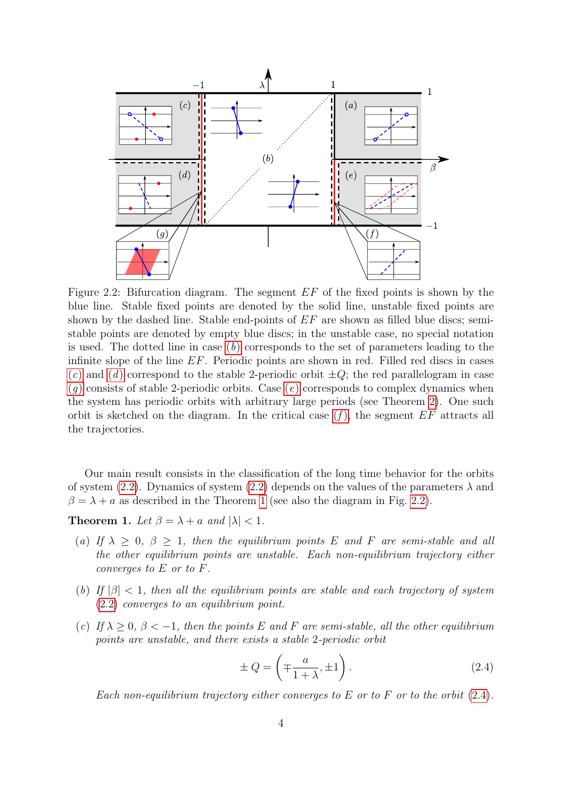<span id="page-3-3"></span>

Figure 2.2: Bifurcation diagram. The segment EF of the fixed points is shown by the blue line. Stable fixed points are denoted by the solid line, unstable fixed points are shown by the dashed line. Stable end-points of  $EF$  are shown as filled blue discs; semistable points are denoted by empty blue discs; in the unstable case, no special notation is used. The dotted line in case  $(b)$  $(b)$  corresponds to the set of parameters leading to the infinite slope of the line EF. Periodic points are shown in red. Filled red discs in cases ([c](#page-3-1)) an[d](#page-4-0) (d) correspond to the stable 2-periodic orbit  $\pm Q$ ; the red parallelogram in case  $(q)$  $(q)$  consists of stable 2-periodic orbits. Case  $(e)$  corresponds to complex dynamics when the system has periodic orbits with arbitrary large periods (see Theorem [2\)](#page-4-3). One such orbit is sketched on the diagram. In the critical case  $(f)$ , the segment  $EF$  attracts all the trajectories.

Our main result consists in the classification of the long time behavior for the orbits of system [\(2.2\)](#page-2-1). Dynamics of system (2.2) depends on the values of the parameters  $\lambda$  and  $\beta = \lambda + a$  as described in the Theorem [1](#page-3-2) (see also the diagram in Fig. [2.2\)](#page-3-3).

<span id="page-3-2"></span>**Theorem 1.** Let  $\beta = \lambda + a$  and  $|\lambda| < 1$ .

- <span id="page-3-5"></span>(a) If  $\lambda \geq 0$ ,  $\beta \geq 1$ , then the equilibrium points E and F are semi-stable and all the other equilibrium points are unstable. Each non-equilibrium trajectory either converges to E or to F.
- <span id="page-3-0"></span>(b) If  $|\beta|$  < 1, then all the equilibrium points are stable and each trajectory of system [\(2.2\)](#page-2-1) converges to an equilibrium point.
- <span id="page-3-1"></span>(c) If  $\lambda > 0$ ,  $\beta < -1$ , then the points E and F are semi-stable, all the other equilibrium points are unstable, and there exists a stable 2-periodic orbit

<span id="page-3-4"></span>
$$
\pm Q = \left( \mp \frac{a}{1 + \lambda}, \pm 1 \right). \tag{2.4}
$$

Each non-equilibrium trajectory either converges to E or to F or to the orbit  $(2.4)$ .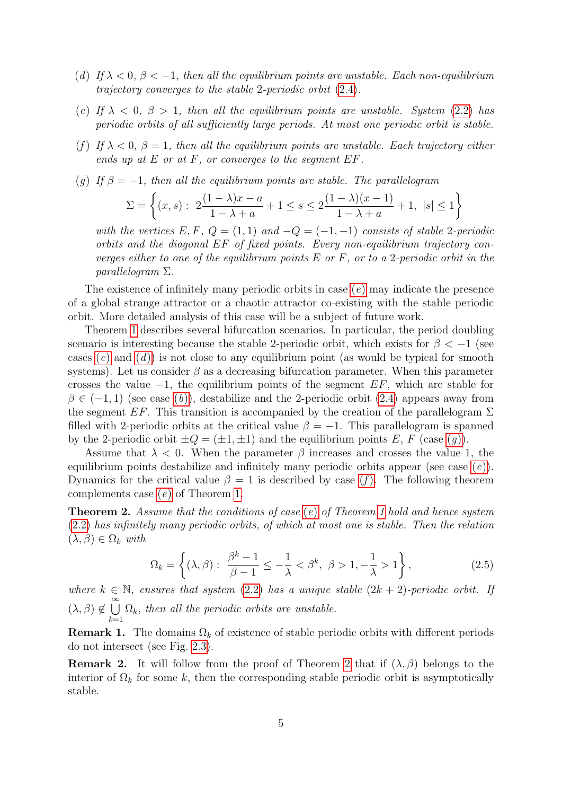- <span id="page-4-0"></span>(d) If  $\lambda < 0$ ,  $\beta < -1$ , then all the equilibrium points are unstable. Each non-equilibrium trajectory converges to the stable 2-periodic orbit [\(2.4\)](#page-3-4).
- <span id="page-4-2"></span>(e) If  $\lambda$  < 0,  $\beta$  > 1, then all the equilibrium points are unstable. System [\(2.2\)](#page-2-1) has periodic orbits of all sufficiently large periods. At most one periodic orbit is stable.
- <span id="page-4-4"></span>(f) If  $\lambda < 0$ ,  $\beta = 1$ , then all the equilibrium points are unstable. Each trajectory either ends up at  $E$  or at  $F$ , or converges to the segment  $EF$ .
- <span id="page-4-1"></span>(g) If  $\beta = -1$ , then all the equilibrium points are stable. The parallelogram

$$
\Sigma = \left\{ (x, s): \ 2\frac{(1 - \lambda)x - a}{1 - \lambda + a} + 1 \le s \le 2\frac{(1 - \lambda)(x - 1)}{1 - \lambda + a} + 1, \ |s| \le 1 \right\}
$$

with the vertices E, F,  $Q = (1, 1)$  and  $-Q = (-1, -1)$  consists of stable 2-periodic orbits and the diagonal EF of fixed points. Every non-equilibrium trajectory converges either to one of the equilibrium points  $E$  or  $F$ , or to a 2-periodic orbit in the parallelogram Σ.

The existence of infinitely many periodic orbits in case  $(e)$  $(e)$  may indicate the presence of a global strange attractor or a chaotic attractor co-existing with the stable periodic orbit. More detailed analysis of this case will be a subject of future work.

Theorem [1](#page-3-2) describes several bifurcation scenarios. In particular, the period doubling scenario is interesting because the stable 2-periodic orbit, which exists for  $\beta < -1$  (see cases  $(c)$  $(c)$  an[d](#page-4-0)  $(d)$  is not close to any equilibrium point (as would be typical for smooth systems). Let us consider  $\beta$  as a decreasing bifurcation parameter. When this parameter crosses the value  $-1$ , the equilibrium points of the segment  $EF$ , which are stable for  $\beta \in (-1,1)$  (see case (b[\)\)](#page-3-0), destabilize and the 2-periodic orbit [\(2.4\)](#page-3-4) appears away from the segment  $EF$ . This transition is accompanied by the creation of the parallelogram  $\Sigma$ filled with 2-periodic orbits at the critical value  $\beta = -1$ . This parallelogram is spanned by the 2-periodic orbit  $\pm Q = (\pm 1, \pm 1)$  and the equilibrium points E, F (case (q)).

Assume that  $\lambda < 0$ . When the parameter  $\beta$  increases and crosses the value 1, the equilibrium points destabilize and infinitely many periodic orbits appear [\(](#page-4-2)see case  $(e)$ ). Dynamics for the critical value  $\beta = 1$  is described by case (f[\).](#page-4-4) The following theorem complements case (e[\)](#page-4-2) of Theorem [1.](#page-3-2)

<span id="page-4-3"></span>**Th[e](#page-4-2)orem 2.** Assume that the conditions of case  $(e)$  of Theorem [1](#page-3-2) hold and hence system [\(2.2\)](#page-2-1) has infinitely many periodic orbits, of which at most one is stable. Then the relation  $(\lambda, \beta) \in \Omega_k$  with

<span id="page-4-5"></span>
$$
\Omega_k = \left\{ (\lambda, \beta) : \ \frac{\beta^k - 1}{\beta - 1} \le -\frac{1}{\lambda} < \beta^k, \ \beta > 1, -\frac{1}{\lambda} > 1 \right\},\tag{2.5}
$$

where  $k \in \mathbb{N}$ , ensures that system [\(2.2\)](#page-2-1) has a unique stable  $(2k + 2)$ -periodic orbit. If  $(\lambda, \beta) \notin \bigcup^{\infty}$  $_{k=1}$  $\Omega_k$ , then all the periodic orbits are unstable.

**Remark 1.** The domains  $\Omega_k$  of existence of stable periodic orbits with different periods do not intersect (see Fig. [2.3\)](#page-5-1).

**Remark [2](#page-4-3).** It will follow from the proof of Theorem 2 that if  $(\lambda, \beta)$  belongs to the interior of  $\Omega_k$  for some k, then the corresponding stable periodic orbit is asymptotically stable.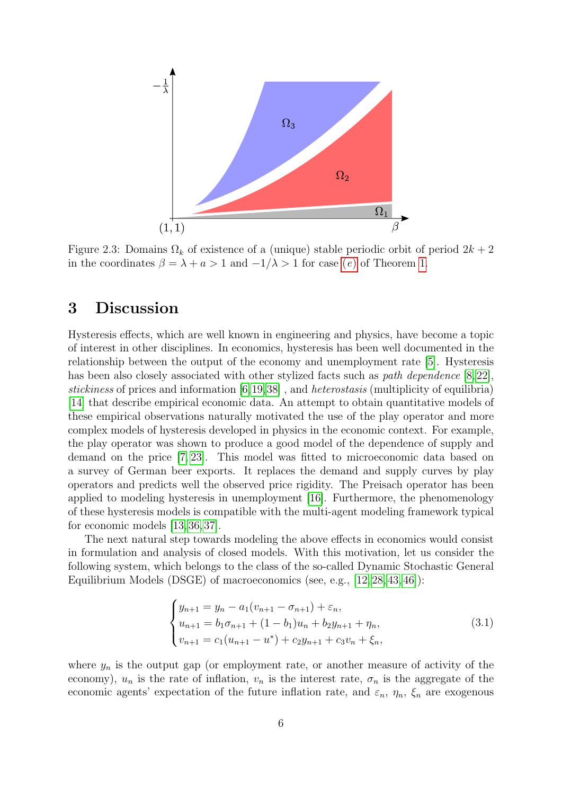<span id="page-5-1"></span>

Figure 2.3: Domains  $\Omega_k$  of existence of a (unique) stable periodic orbit of period  $2k+2$ in the coordinates  $\beta = \lambda + a > 1$  and  $\lambda > 1$  for case (e[\)](#page-4-2) of Theorem [1.](#page-3-2)

# <span id="page-5-0"></span>3 Discussion

Hysteresis effects, which are well known in engineering and physics, have become a topic of interest in other disciplines. In economics, hysteresis has been well documented in the relationship between the output of the economy and unemployment rate [\[5\]](#page-22-4). Hysteresis has been also closely associated with other stylized facts such as *path dependence* [\[8,](#page-23-7) [22\]](#page-24-12), stickiness of prices and information  $[6,19,38]$  $[6,19,38]$  $[6,19,38]$ , and *heterostasis* (multiplicity of equilibria) [\[14\]](#page-23-9) that describe empirical economic data. An attempt to obtain quantitative models of these empirical observations naturally motivated the use of the play operator and more complex models of hysteresis developed in physics in the economic context. For example, the play operator was shown to produce a good model of the dependence of supply and demand on the price [\[7,](#page-23-10) [23\]](#page-24-13). This model was fitted to microeconomic data based on a survey of German beer exports. It replaces the demand and supply curves by play operators and predicts well the observed price rigidity. The Preisach operator has been applied to modeling hysteresis in unemployment [\[16\]](#page-23-11). Furthermore, the phenomenology of these hysteresis models is compatible with the multi-agent modeling framework typical for economic models [\[13,](#page-23-4) [36,](#page-25-8) [37\]](#page-25-9).

The next natural step towards modeling the above effects in economics would consist in formulation and analysis of closed models. With this motivation, let us consider the following system, which belongs to the class of the so-called Dynamic Stochastic General Equilibrium Models (DSGE) of macroeconomics (see, e.g., [\[12,](#page-23-12) [28,](#page-24-14) [43,](#page-25-10) [46\]](#page-25-11)):

<span id="page-5-2"></span>
$$
\begin{cases}\ny_{n+1} = y_n - a_1(v_{n+1} - \sigma_{n+1}) + \varepsilon_n, \\
u_{n+1} = b_1 \sigma_{n+1} + (1 - b_1)u_n + b_2 y_{n+1} + \eta_n, \\
v_{n+1} = c_1(u_{n+1} - u^*) + c_2 y_{n+1} + c_3 v_n + \xi_n,\n\end{cases}
$$
\n(3.1)

where  $y_n$  is the output gap (or employment rate, or another measure of activity of the economy),  $u_n$  is the rate of inflation,  $v_n$  is the interest rate,  $\sigma_n$  is the aggregate of the economic agents' expectation of the future inflation rate, and  $\varepsilon_n$ ,  $\eta_n$ ,  $\xi_n$  are exogenous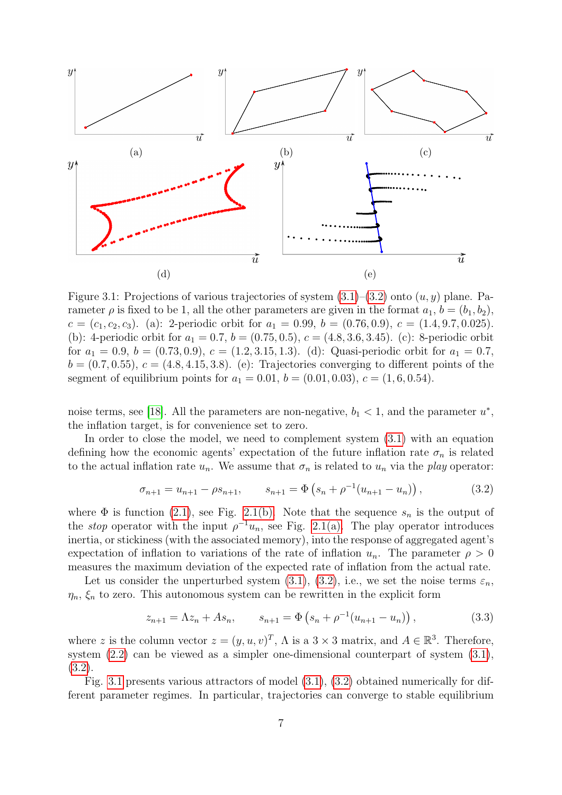<span id="page-6-1"></span>

Figure 3.1: Projections of various trajectories of system  $(3.1)$ – $(3.2)$  onto  $(u, y)$  plane. Parameter  $\rho$  is fixed to be 1, all the other parameters are given in the format  $a_1, b = (b_1, b_2)$ ,  $c = (c_1, c_2, c_3)$ . (a): 2-periodic orbit for  $a_1 = 0.99$ ,  $b = (0.76, 0.9)$ ,  $c = (1.4, 9.7, 0.025)$ . (b): 4-periodic orbit for  $a_1 = 0.7$ ,  $b = (0.75, 0.5)$ ,  $c = (4.8, 3.6, 3.45)$ . (c): 8-periodic orbit for  $a_1 = 0.9$ ,  $b = (0.73, 0.9)$ ,  $c = (1.2, 3.15, 1.3)$ . (d): Quasi-periodic orbit for  $a_1 = 0.7$ ,  $b = (0.7, 0.55), c = (4.8, 4.15, 3.8).$  (e): Trajectories converging to different points of the segment of equilibrium points for  $a_1 = 0.01$ ,  $b = (0.01, 0.03)$ ,  $c = (1, 6, 0.54)$ .

noise terms, see [\[18\]](#page-23-13). All the parameters are non-negative,  $b_1 < 1$ , and the parameter  $u^*$ , the inflation target, is for convenience set to zero.

In order to close the model, we need to complement system [\(3.1\)](#page-5-2) with an equation defining how the economic agents' expectation of the future inflation rate  $\sigma_n$  is related to the actual inflation rate  $u_n$ . We assume that  $\sigma_n$  is related to  $u_n$  via the play operator:

<span id="page-6-0"></span>
$$
\sigma_{n+1} = u_{n+1} - \rho s_{n+1}, \qquad s_{n+1} = \Phi\left(s_n + \rho^{-1}(u_{n+1} - u_n)\right), \tag{3.2}
$$

where  $\Phi$  is function [\(2.1\)](#page-1-2), see Fig. [2.1\(b\).](#page-2-0) Note that the sequence  $s_n$  is the output of the *stop* operator with the input  $\rho^{-1}u_n$ , see Fig. [2.1\(a\).](#page-2-0) The play operator introduces inertia, or stickiness (with the associated memory), into the response of aggregated agent's expectation of inflation to variations of the rate of inflation  $u_n$ . The parameter  $\rho > 0$ measures the maximum deviation of the expected rate of inflation from the actual rate.

Let us consider the unperturbed system [\(3.1\)](#page-5-2), [\(3.2\)](#page-6-0), i.e., we set the noise terms  $\varepsilon_n$ ,  $\eta_n$ ,  $\xi_n$  to zero. This autonomous system can be rewritten in the explicit form

$$
z_{n+1} = \Lambda z_n + A s_n, \qquad s_{n+1} = \Phi \left( s_n + \rho^{-1} (u_{n+1} - u_n) \right), \tag{3.3}
$$

where z is the column vector  $z = (y, u, v)^T$ ,  $\Lambda$  is a  $3 \times 3$  matrix, and  $A \in \mathbb{R}^3$ . Therefore, system [\(2.2\)](#page-2-1) can be viewed as a simpler one-dimensional counterpart of system [\(3.1\)](#page-5-2), [\(3.2\)](#page-6-0).

Fig. [3.1](#page-6-1) presents various attractors of model [\(3.1\)](#page-5-2), [\(3.2\)](#page-6-0) obtained numerically for different parameter regimes. In particular, trajectories can converge to stable equilibrium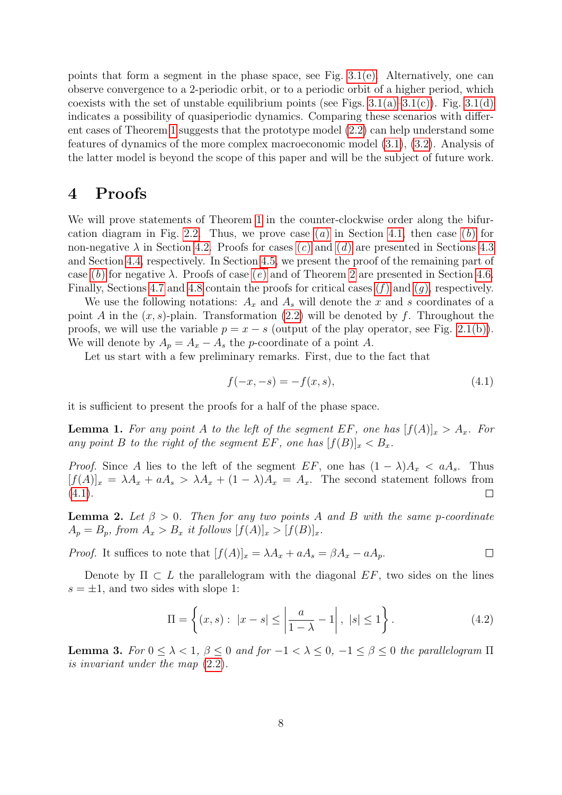points that form a segment in the phase space, see Fig.  $3.1(e)$ . Alternatively, one can observe convergence to a 2-periodic orbit, or to a periodic orbit of a higher period, which coexists with the set of unstable equilibrium points (see Figs.  $3.1(a)-3.1(c)$ ). Fig.  $3.1(d)$ indicates a possibility of quasiperiodic dynamics. Comparing these scenarios with different cases of Theorem [1](#page-3-2) suggests that the prototype model [\(2.2\)](#page-2-1) can help understand some features of dynamics of the more complex macroeconomic model [\(3.1\)](#page-5-2), [\(3.2\)](#page-6-0). Analysis of the latter model is beyond the scope of this paper and will be the subject of future work.

# 4 Proofs

We will prove statements of Theorem [1](#page-3-2) in the counter-clockwise order along the bifur-cation diagram in Fig. [2.2.](#page-3-3) Thus, we prove c[a](#page-3-5)se  $(a)$  in Section [4.1,](#page-8-0) then case  $(b)$  for non-negative  $\lambda$  in Section [4.2.](#page-8-1) Proofs for cases [\(](#page-4-0)c) and (d) are presented in Sections [4.3](#page-10-0) and Section [4.4,](#page-12-0) respectively. In Section [4.5,](#page-13-0) we present the proof of the remaining part of case [\(](#page-3-0)b[\)](#page-4-2) for negative  $\lambda$ . Proofs of case (e) and of Theorem [2](#page-4-3) are presented in Section [4.6.](#page-15-0) Finally, Sections [4.7](#page-21-0) and [4.8](#page-21-1) contain the proofs for critical cases  $(f)$  $(f)$  and  $(g)$  $(g)$  $(g)$ , respectively.

We use the following notations:  $A_x$  and  $A_s$  will denote the x and s coordinates of a point A in the  $(x, s)$ -plain. Transformation [\(2.2\)](#page-2-1) will be denoted by f. Throughout the proofs, we will use the variable  $p = x - s$  (output of the play operator, see Fig. [2.1\(b\)\)](#page-2-0). We will denote by  $A_p = A_x - A_s$  the p-coordinate of a point A.

Let us start with a few preliminary remarks. First, due to the fact that

<span id="page-7-0"></span>
$$
f(-x, -s) = -f(x, s),
$$
\n(4.1)

it is sufficient to present the proofs for a half of the phase space.

<span id="page-7-1"></span>**Lemma 1.** For any point A to the left of the segment EF, one has  $[f(A)]_x > A_x$ . For any point B to the right of the segment EF, one has  $[f(B)]_x < B_x$ .

*Proof.* Since A lies to the left of the segment EF, one has  $(1 - \lambda)A_x < aA_s$ . Thus  $[f(A)]_x = \lambda A_x + aA_s > \lambda A_x + (1-\lambda)A_x = A_x$ . The second statement follows from  $(4.1).$  $(4.1).$  $\Box$ 

<span id="page-7-2"></span>**Lemma 2.** Let  $\beta > 0$ . Then for any two points A and B with the same p-coordinate  $A_p = B_p$ , from  $A_x > B_x$  it follows  $[f(A)]_x > [f(B)]_x$ .

*Proof.* It suffices to note that  $[f(A)]_x = \lambda A_x + aA_s = \beta A_x - aA_p$ .  $\Box$ 

Denote by  $\Pi \subset L$  the parallelogram with the diagonal  $EF$ , two sides on the lines  $s = \pm 1$ , and two sides with slope 1:

<span id="page-7-3"></span>
$$
\Pi = \left\{ (x, s) : |x - s| \le \left| \frac{a}{1 - \lambda} - 1 \right|, |s| \le 1 \right\}.
$$
 (4.2)

<span id="page-7-4"></span>**Lemma 3.** For  $0 \leq \lambda < 1$ ,  $\beta \leq 0$  and for  $-1 < \lambda \leq 0$ ,  $-1 \leq \beta \leq 0$  the parallelogram  $\Pi$ is invariant under the map [\(2.2\)](#page-2-1).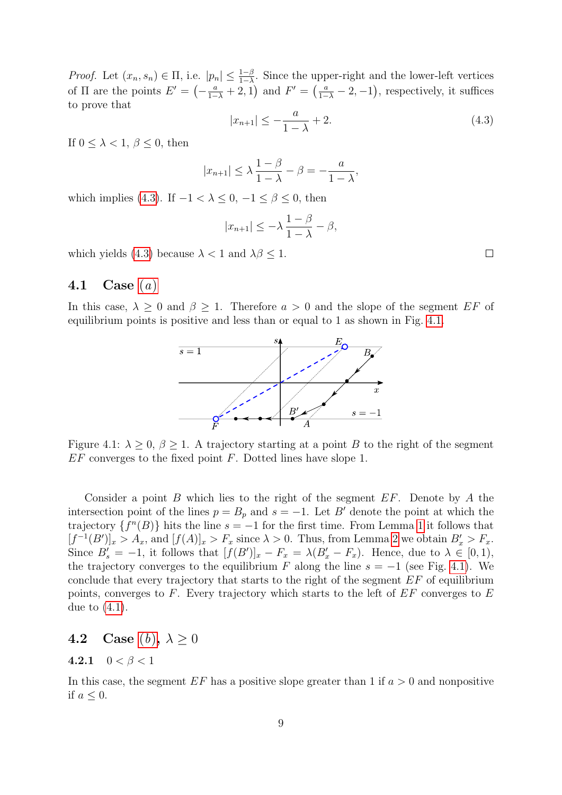*Proof.* Let  $(x_n, s_n) \in \Pi$ , i.e.  $|p_n| \leq \frac{1-\beta}{1-\lambda}$ . Since the upper-right and the lower-left vertices of  $\Pi$  are the points  $E' = \left(-\frac{a}{1-\lambda} + 2, 1\right)$  and  $F' = \left(\frac{a}{1-\lambda} - 2, -1\right)$ , respectively, it suffices to prove that

<span id="page-8-2"></span>
$$
|x_{n+1}| \le -\frac{a}{1-\lambda} + 2. \tag{4.3}
$$

If  $0 \leq \lambda < 1, \beta \leq 0$ , then

$$
|x_{n+1}| \le \lambda \frac{1-\beta}{1-\lambda} - \beta = -\frac{a}{1-\lambda},
$$

which implies [\(4.3\)](#page-8-2). If  $-1 < \lambda \leq 0, -1 \leq \beta \leq 0$ , then

$$
|x_{n+1}| \leq -\lambda \frac{1-\beta}{1-\lambda} - \beta,
$$

which yields [\(4.3\)](#page-8-2) because  $\lambda < 1$  and  $\lambda \beta \leq 1$ .

## <span id="page-8-0"></span>4.1 C[a](#page-3-5)se  $(a)$

<span id="page-8-3"></span>In this case,  $\lambda \geq 0$  and  $\beta \geq 1$ . Therefore  $a > 0$  and the slope of the segment EF of equilibrium points is positive and less than or equal to 1 as shown in Fig. [4.1.](#page-8-3)



Figure 4.1:  $\lambda \geq 0$ ,  $\beta \geq 1$ . A trajectory starting at a point B to the right of the segment  $EF$  converges to the fixed point  $F$ . Dotted lines have slope 1.

Consider a point  $B$  which lies to the right of the segment  $EF$ . Denote by  $A$  the intersection point of the lines  $p = B_p$  and  $s = -1$ . Let B' denote the point at which the trajectory  $\{f^n(B)\}\$ hits the line  $s = -1$  for the first time. From Lemma [1](#page-7-1) it follows that  $[f^{-1}(B')]_x > A_x$ , and  $[f(A)]_x > F_x$  since  $\lambda > 0$ . Thus, from Lemma [2](#page-7-2) we obtain  $B'_x > F_x$ . Since  $B'_s = -1$ , it follows that  $[f(B')]_x - F_x = \lambda (B'_x - F_x)$ . Hence, due to  $\lambda \in [0,1)$ , the trajectory converges to the equilibrium F along the line  $s = -1$  (see Fig. [4.1\)](#page-8-3). We conclude that every trajectory that starts to the right of the segment  $EF$  of equilibrium points, converges to  $F$ . Every trajectory which starts to the left of  $EF$  converges to  $E$ due to [\(4.1\)](#page-7-0).

## <span id="page-8-1"></span>4.2 Case  $(b)$  $(b)$  $(b)$ ,  $\lambda \geq 0$

#### 4.2.1  $0 < \beta < 1$

In this case, the segment  $EF$  has a positive slope greater than 1 if  $a > 0$  and nonpositive if  $a \leq 0$ .

 $\Box$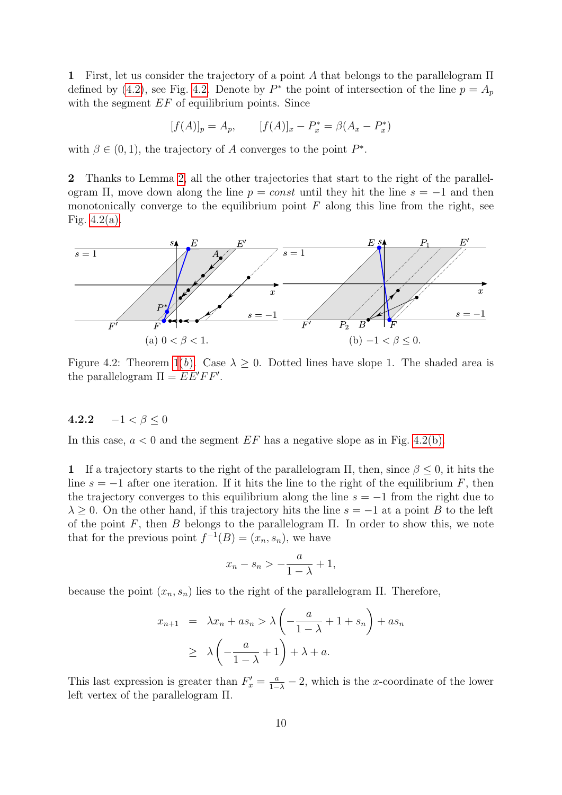1 First, let us consider the trajectory of a point A that belongs to the parallelogram  $\Pi$ defined by [\(4.2\)](#page-7-3), see Fig. [4.2.](#page-9-0) Denote by  $P^*$  the point of intersection of the line  $p = A_p$ with the segment  $EF$  of equilibrium points. Since

$$
[f(A)]_p = A_p, \qquad [f(A)]_x - P_x^* = \beta(A_x - P_x^*)
$$

with  $\beta \in (0,1)$ , the trajectory of A converges to the point  $P^*$ .

2 Thanks to Lemma [2,](#page-7-2) all the other trajectories that start to the right of the parallelogram  $\Pi$ , move down along the line  $p = const$  until they hit the line  $s = -1$  and then monotonically converge to the equilibrium point  $F$  along this line from the right, see Fig.  $4.2(a)$ .

<span id="page-9-0"></span>

Figure 4.2: Theorem [1\(](#page-3-2)b[\).](#page-3-0) Case  $\lambda \geq 0$ . Dotted lines have slope 1. The shaded area is the parallelogram  $\Pi = E E' F F'$ .

## <span id="page-9-1"></span>4.2.2  $-1 < \beta < 0$

In this case,  $a < 0$  and the segment  $EF$  has a negative slope as in Fig. [4.2\(b\).](#page-9-0)

1 If a trajectory starts to the right of the parallelogram  $\Pi$ , then, since  $\beta \leq 0$ , it hits the line  $s = -1$  after one iteration. If it hits the line to the right of the equilibrium F, then the trajectory converges to this equilibrium along the line  $s = -1$  from the right due to  $\lambda \geq 0$ . On the other hand, if this trajectory hits the line  $s = -1$  at a point B to the left of the point F, then B belongs to the parallelogram  $\Pi$ . In order to show this, we note that for the previous point  $f^{-1}(B) = (x_n, s_n)$ , we have

$$
x_n - s_n > -\frac{a}{1-\lambda} + 1,
$$

because the point  $(x_n, s_n)$  lies to the right of the parallelogram Π. Therefore,

<span id="page-9-2"></span>
$$
x_{n+1} = \lambda x_n + a s_n > \lambda \left( -\frac{a}{1-\lambda} + 1 + s_n \right) + a s_n
$$
  
 
$$
\geq \lambda \left( -\frac{a}{1-\lambda} + 1 \right) + \lambda + a.
$$

This last expression is greater than  $F'_x = \frac{a}{1-\lambda} - 2$ , which is the x-coordinate of the lower left vertex of the parallelogram Π.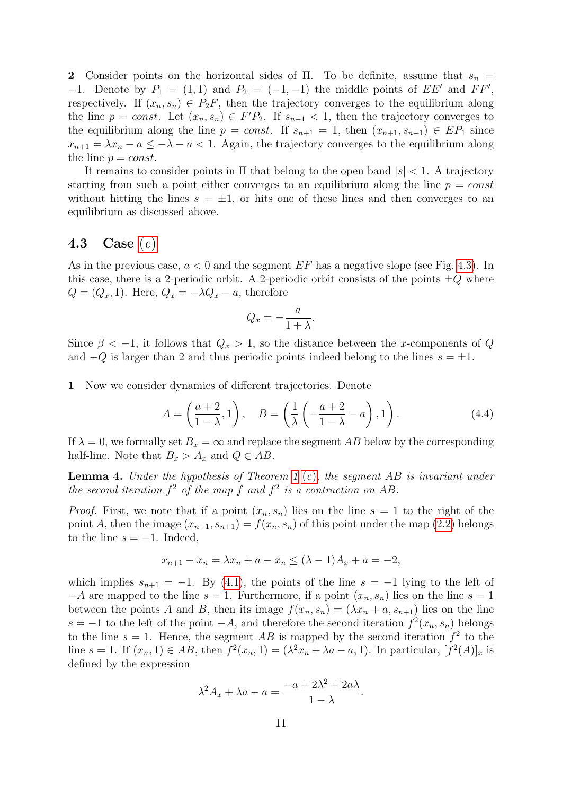2 Consider points on the horizontal sides of Π. To be definite, assume that  $s_n =$  $-1$ . Denote by  $P_1 = (1, 1)$  and  $P_2 = (-1, -1)$  the middle points of  $EE'$  and  $FF'$ , respectively. If  $(x_n, s_n) \in P_2F$ , then the trajectory converges to the equilibrium along the line  $p = const.$  Let  $(x_n, s_n) \in F'P_2$ . If  $s_{n+1} < 1$ , then the trajectory converges to the equilibrium along the line  $p = const.$  If  $s_{n+1} = 1$ , then  $(x_{n+1}, s_{n+1}) \in EP_1$  since  $x_{n+1} = \lambda x_n - a \leq -\lambda - a < 1$ . Again, the trajectory converges to the equilibrium along the line  $p = const.$ 

It remains to consider points in  $\Pi$  that belong to the open band  $|s| < 1$ . A trajectory starting from such a point either converges to an equilibrium along the line  $p = const$ without hitting the lines  $s = \pm 1$ , or hits one of these lines and then converges to an equilibrium as discussed above.

## <span id="page-10-0"></span>4.3 Case  $(c)$  $(c)$  $(c)$

As in the previous case,  $a < 0$  and the segment EF has a negative slope (see Fig. [4.3\)](#page-11-0). In this case, there is a 2-periodic orbit. A 2-periodic orbit consists of the points  $\pm Q$  where  $Q = (Q_x, 1)$ . Here,  $Q_x = -\lambda Q_x - a$ , therefore

$$
Q_x = -\frac{a}{1+\lambda}.
$$

Since  $\beta < -1$ , it follows that  $Q_x > 1$ , so the distance between the x-components of Q and  $-Q$  is larger than 2 and thus periodic points indeed belong to the lines  $s = \pm 1$ .

1 Now we consider dynamics of different trajectories. Denote

$$
A = \left(\frac{a+2}{1-\lambda}, 1\right), \quad B = \left(\frac{1}{\lambda}\left(-\frac{a+2}{1-\lambda} - a\right), 1\right). \tag{4.4}
$$

If  $\lambda = 0$ , we formally set  $B_x = \infty$  and replace the segment AB below by the corresponding half-line. Note that  $B_x > A_x$  and  $Q \in AB$ .

<span id="page-10-1"></span>**Lemma 4.** Under the hypothesis of Theorem [1](#page-3-2) ([c](#page-3-1)), the segment AB is invariant under the second iteration  $f^2$  of the map f and  $f^2$  is a contraction on AB.

*Proof.* First, we note that if a point  $(x_n, s_n)$  lies on the line  $s = 1$  to the right of the point A, then the image  $(x_{n+1}, s_{n+1}) = f(x_n, s_n)$  of this point under the map [\(2.2\)](#page-2-1) belongs to the line  $s = -1$ . Indeed,

$$
x_{n+1} - x_n = \lambda x_n + a - x_n \le (\lambda - 1)A_x + a = -2,
$$

which implies  $s_{n+1} = -1$ . By [\(4.1\)](#page-7-0), the points of the line  $s = -1$  lying to the left of  $-A$  are mapped to the line  $s = 1$ . Furthermore, if a point  $(x_n, s_n)$  lies on the line  $s = 1$ between the points A and B, then its image  $f(x_n, s_n) = (\lambda x_n + a, s_{n+1})$  lies on the line  $s = -1$  to the left of the point  $-A$ , and therefore the second iteration  $f^2(x_n, s_n)$  belongs to the line  $s = 1$ . Hence, the segment AB is mapped by the second iteration  $f^2$  to the line  $s = 1$ . If  $(x_n, 1) \in AB$ , then  $f^2(x_n, 1) = (\lambda^2 x_n + \lambda a - a, 1)$ . In particular,  $[f^2(A)]_x$  is defined by the expression

$$
\lambda^2 A_x + \lambda a - a = \frac{-a + 2\lambda^2 + 2a\lambda}{1 - \lambda}.
$$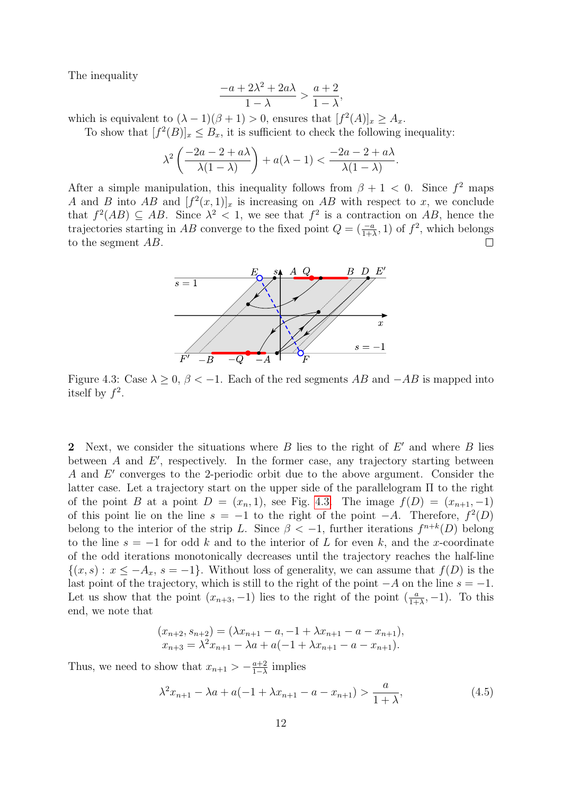The inequality

$$
\frac{-a+2\lambda^2+2a\lambda}{1-\lambda} > \frac{a+2}{1-\lambda},
$$

which is equivalent to  $(\lambda - 1)(\beta + 1) > 0$ , ensures that  $[f^2(A)]_x \geq A_x$ .

To show that  $[f^2(B)]_x \leq B_x$ , it is sufficient to check the following inequality:

$$
\lambda^2 \left( \frac{-2a - 2 + a\lambda}{\lambda(1 - \lambda)} \right) + a(\lambda - 1) < \frac{-2a - 2 + a\lambda}{\lambda(1 - \lambda)}.
$$

<span id="page-11-0"></span>After a simple manipulation, this inequality follows from  $\beta + 1 < 0$ . Since  $f^2$  maps A and B into AB and  $[f^2(x,1)]_x$  is increasing on AB with respect to x, we conclude that  $f^2(AB) \subseteq AB$ . Since  $\lambda^2 < 1$ , we see that  $f^2$  is a contraction on AB, hence the trajectories starting in AB converge to the fixed point  $Q = \left(\frac{-a}{1+\lambda}, 1\right)$  of  $f^2$ , which belongs to the segment AB.



Figure 4.3: Case  $\lambda \geq 0$ ,  $\beta < -1$ . Each of the red segments AB and  $-AB$  is mapped into itself by  $f^2$ .

2 Next, we consider the situations where  $B$  lies to the right of  $E'$  and where  $B$  lies between  $A$  and  $E'$ , respectively. In the former case, any trajectory starting between A and  $E'$  converges to the 2-periodic orbit due to the above argument. Consider the latter case. Let a trajectory start on the upper side of the parallelogram Π to the right of the point B at a point  $D = (x_n, 1)$ , see Fig. [4.3.](#page-11-0) The image  $f(D) = (x_{n+1}, -1)$ of this point lie on the line  $s = -1$  to the right of the point  $-A$ . Therefore,  $f^2(D)$ belong to the interior of the strip L. Since  $\beta < -1$ , further iterations  $f^{n+k}(D)$  belong to the line  $s = -1$  for odd k and to the interior of L for even k, and the x-coordinate of the odd iterations monotonically decreases until the trajectory reaches the half-line  $\{(x, s): x \leq -A_x, s = -1\}.$  Without loss of generality, we can assume that  $f(D)$  is the last point of the trajectory, which is still to the right of the point  $-A$  on the line  $s = -1$ . Let us show that the point  $(x_{n+3}, -1)$  lies to the right of the point  $\left(\frac{a}{1+\lambda}, -1\right)$ . To this end, we note that

$$
(x_{n+2}, s_{n+2}) = (\lambda x_{n+1} - a, -1 + \lambda x_{n+1} - a - x_{n+1}),
$$
  
\n
$$
x_{n+3} = \lambda^2 x_{n+1} - \lambda a + a(-1 + \lambda x_{n+1} - a - x_{n+1}).
$$

Thus, we need to show that  $x_{n+1} > -\frac{a+2}{1-\lambda}$  $rac{a+2}{1-\lambda}$  implies

<span id="page-11-1"></span>
$$
\lambda^2 x_{n+1} - \lambda a + a(-1 + \lambda x_{n+1} - a - x_{n+1}) > \frac{a}{1 + \lambda},\tag{4.5}
$$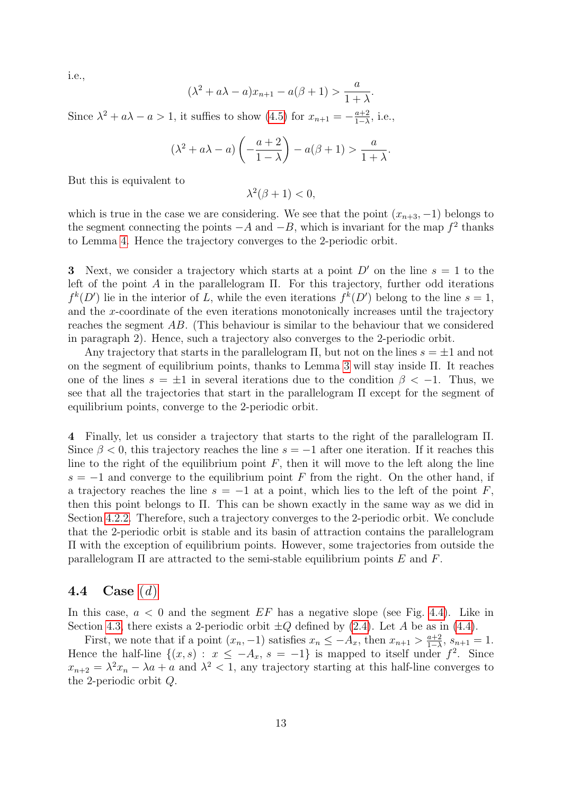i.e.,

$$
(\lambda^2 + a\lambda - a)x_{n+1} - a(\beta + 1) > \frac{a}{1 + \lambda}.
$$

Since  $\lambda^2 + a\lambda - a > 1$ , it suffies to show  $(4.5)$  for  $x_{n+1} = -\frac{a+2}{1-\lambda}$  $\frac{a+2}{1-\lambda}$ , i.e.,

$$
(\lambda^2 + a\lambda - a) \left( -\frac{a+2}{1-\lambda} \right) - a(\beta + 1) > \frac{a}{1+\lambda}.
$$

But this is equivalent to

$$
\lambda^2(\beta + 1) < 0,
$$

which is true in the case we are considering. We see that the point  $(x_{n+3}, -1)$  belongs to the segment connecting the points  $-A$  and  $-B$ , which is invariant for the map  $f^2$  thanks to Lemma [4.](#page-10-1) Hence the trajectory converges to the 2-periodic orbit.

3 Next, we consider a trajectory which starts at a point  $D'$  on the line  $s = 1$  to the left of the point A in the parallelogram  $\Pi$ . For this trajectory, further odd iterations  $f^k(D')$  lie in the interior of L, while the even iterations  $f^k(D')$  belong to the line  $s=1$ , and the x-coordinate of the even iterations monotonically increases until the trajectory reaches the segment AB. (This behaviour is similar to the behaviour that we considered in paragraph 2). Hence, such a trajectory also converges to the 2-periodic orbit.

Any trajectory that starts in the parallelogram  $\Pi$ , but not on the lines  $s = \pm 1$  and not on the segment of equilibrium points, thanks to Lemma [3](#page-7-4) will stay inside Π. It reaches one of the lines  $s = \pm 1$  in several iterations due to the condition  $\beta < -1$ . Thus, we see that all the trajectories that start in the parallelogram Π except for the segment of equilibrium points, converge to the 2-periodic orbit.

4 Finally, let us consider a trajectory that starts to the right of the parallelogram Π. Since  $\beta$  < 0, this trajectory reaches the line  $s = -1$  after one iteration. If it reaches this line to the right of the equilibrium point  $F$ , then it will move to the left along the line  $s = -1$  and converge to the equilibrium point F from the right. On the other hand, if a trajectory reaches the line  $s = -1$  at a point, which lies to the left of the point F, then this point belongs to Π. This can be shown exactly in the same way as we did in Section [4.2.2.](#page-9-1) Therefore, such a trajectory converges to the 2-periodic orbit. We conclude that the 2-periodic orbit is stable and its basin of attraction contains the parallelogram Π with the exception of equilibrium points. However, some trajectories from outside the parallelogram  $\Pi$  are attracted to the semi-stable equilibrium points  $E$  and  $F$ .

#### <span id="page-12-0"></span>4.4 Case  $(d)$  $(d)$  $(d)$

In this case,  $a < 0$  and the segment EF has a negative slope (see Fig. [4.4\)](#page-13-1). Like in Section [4.3,](#page-10-0) there exists a 2-periodic orbit  $\pm Q$  defined by [\(2.4\)](#page-3-4). Let A be as in [\(4.4\)](#page-9-2).

First, we note that if a point  $(x_n, -1)$  satisfies  $x_n \leq -A_x$ , then  $x_{n+1} > \frac{a+2}{1-\lambda}$  $\frac{a+2}{1-\lambda}, s_{n+1} = 1.$ Hence the half-line  $\{(x, s): x \leq -A_x, s = -1\}$  is mapped to itself under  $f^2$ . Since  $x_{n+2} = \lambda^2 x_n - \lambda a + a$  and  $\lambda^2 < 1$ , any trajectory starting at this half-line converges to the 2-periodic orbit Q.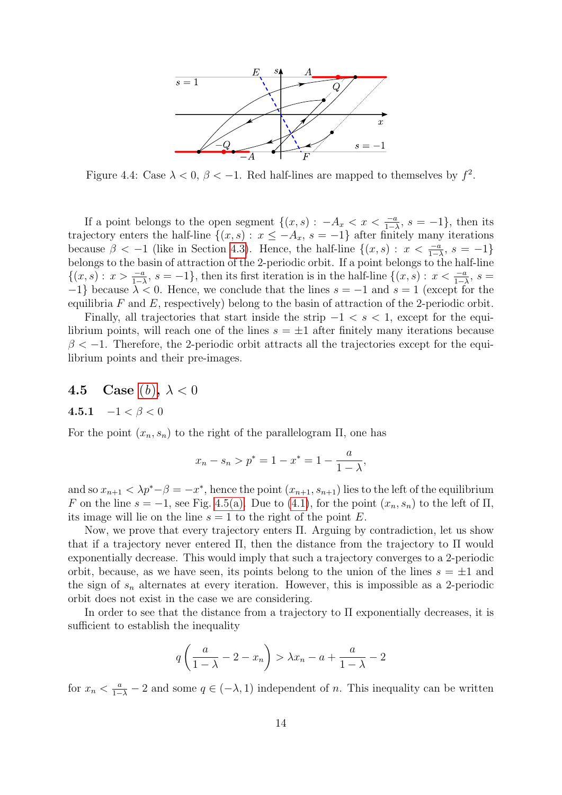<span id="page-13-1"></span>

Figure 4.4: Case  $\lambda < 0$ ,  $\beta < -1$ . Red half-lines are mapped to themselves by  $f^2$ .

If a point belongs to the open segment  $\{(x, s) : -A_x < x < \frac{-a}{1-\lambda}, s = -1\}$ , then its trajectory enters the half-line  $\{(x, s): x \leq -A_x, s = -1\}$  after finitely many iterations because  $\beta < -1$  (like in Section [4.3\)](#page-10-0). Hence, the half-line  $\{(x, s) : x < \frac{-a}{1-\lambda}, s = -1\}$ belongs to the basin of attraction of the 2-periodic orbit. If a point belongs to the half-line  $\{(x,s): x > \frac{-a}{1-\lambda}, s = -1\}$ , then its first iteration is in the half-line  $\{(x,s): x < \frac{-a}{1-\lambda}, s =$  $-1$ } because  $\lambda < 0$ . Hence, we conclude that the lines  $s = -1$  and  $s = 1$  (except for the equilibria  $F$  and  $E$ , respectively) belong to the basin of attraction of the 2-periodic orbit.

Finally, all trajectories that start inside the strip  $-1 < s < 1$ , except for the equilibrium points, will reach one of the lines  $s = \pm 1$  after finitely many iterations because  $\beta < -1$ . Therefore, the 2-periodic orbit attracts all the trajectories except for the equilibrium points and their pre-images.

## <span id="page-13-0"></span>4.5 Case ([b](#page-3-0)),  $\lambda < 0$

$$
\textbf{4.5.1} \quad -1 < \beta < 0
$$

For the point  $(x_n, s_n)$  to the right of the parallelogram  $\Pi$ , one has

$$
x_n - s_n > p^* = 1 - x^* = 1 - \frac{a}{1 - \lambda},
$$

and so  $x_{n+1} < \lambda p^* - \beta = -x^*$ , hence the point  $(x_{n+1}, s_{n+1})$  lies to the left of the equilibrium F on the line  $s = -1$ , see Fig. [4.5\(a\).](#page-14-0) Due to [\(4.1\)](#page-7-0), for the point  $(x_n, s_n)$  to the left of  $\Pi$ , its image will lie on the line  $s = 1$  to the right of the point E.

Now, we prove that every trajectory enters Π. Arguing by contradiction, let us show that if a trajectory never entered Π, then the distance from the trajectory to Π would exponentially decrease. This would imply that such a trajectory converges to a 2-periodic orbit, because, as we have seen, its points belong to the union of the lines  $s = \pm 1$  and the sign of  $s_n$  alternates at every iteration. However, this is impossible as a 2-periodic orbit does not exist in the case we are considering.

In order to see that the distance from a trajectory to  $\Pi$  exponentially decreases, it is sufficient to establish the inequality

$$
q\left(\frac{a}{1-\lambda} - 2 - x_n\right) > \lambda x_n - a + \frac{a}{1-\lambda} - 2
$$

for  $x_n < \frac{a}{1-\lambda} - 2$  and some  $q \in (-\lambda, 1)$  independent of n. This inequality can be written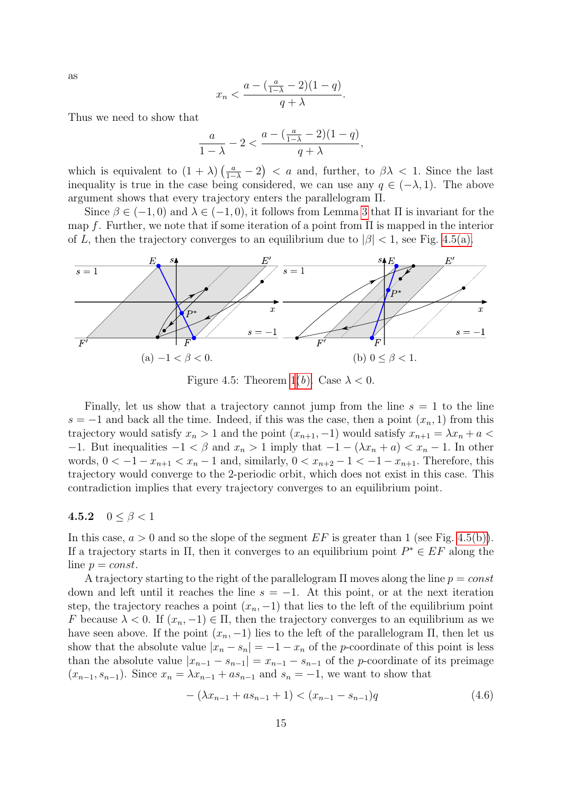as

$$
x_n < \frac{a - \left(\frac{a}{1-\lambda} - 2\right)(1-q)}{q + \lambda}.
$$

Thus we need to show that

$$
\frac{a}{1-\lambda}-2 < \frac{a-(\frac{a}{1-\lambda}-2)(1-q)}{q+\lambda},
$$

which is equivalent to  $(1 + \lambda) \left( \frac{a}{1-\lambda} - 2 \right) < a$  and, further, to  $\beta \lambda < 1$ . Since the last inequality is true in the case being considered, we can use any  $q \in (-\lambda, 1)$ . The above argument shows that every trajectory enters the parallelogram Π.

Since  $\beta \in (-1,0)$  and  $\lambda \in (-1,0)$ , it follows from Lemma [3](#page-7-4) that  $\Pi$  is invariant for the map f. Further, we note that if some iteration of a point from  $\Pi$  is mapped in the interior of L, then the trajectory converges to an equilibrium due to  $|\beta| < 1$ , see Fig. [4.5\(a\).](#page-14-0)

<span id="page-14-0"></span>

Figure 4.5: Theorem [1\(](#page-3-2)b[\).](#page-3-0) Case  $\lambda < 0$ .

Finally, let us show that a trajectory cannot jump from the line  $s = 1$  to the line  $s = -1$  and back all the time. Indeed, if this was the case, then a point  $(x_n, 1)$  from this trajectory would satisfy  $x_n > 1$  and the point  $(x_{n+1}, -1)$  would satisfy  $x_{n+1} = \lambda x_n + a$ −1. But inequalities  $-1 < \beta$  and  $x_n > 1$  imply that  $-1 - (\lambda x_n + a) < x_n - 1$ . In other words,  $0 < -1 - x_{n+1} < x_n - 1$  and, similarly,  $0 < x_{n+2} - 1 < -1 - x_{n+1}$ . Therefore, this trajectory would converge to the 2-periodic orbit, which does not exist in this case. This contradiction implies that every trajectory converges to an equilibrium point.

#### 4.5.2  $0 \le \beta < 1$

In this case,  $a > 0$  and so the slope of the segment  $EF$  is greater than 1 (see Fig. [4.5\(b\)\)](#page-14-0). If a trajectory starts in  $\Pi$ , then it converges to an equilibrium point  $P^* \in EF$  along the line  $p = const.$ 

A trajectory starting to the right of the parallelogram  $\Pi$  moves along the line  $p = const$ down and left until it reaches the line  $s = -1$ . At this point, or at the next iteration step, the trajectory reaches a point  $(x_n, -1)$  that lies to the left of the equilibrium point F because  $\lambda < 0$ . If  $(x_n, -1) \in \Pi$ , then the trajectory converges to an equilibrium as we have seen above. If the point  $(x_n, -1)$  lies to the left of the parallelogram  $\Pi$ , then let us show that the absolute value  $|x_n - s_n| = -1 - x_n$  of the p-coordinate of this point is less than the absolute value  $|x_{n-1} - s_{n-1}| = x_{n-1} - s_{n-1}$  of the p-coordinate of its preimage  $(x_{n-1}, s_{n-1})$ . Since  $x_n = \lambda x_{n-1} + a s_{n-1}$  and  $s_n = -1$ , we want to show that

<span id="page-14-1"></span>
$$
-(\lambda x_{n-1} + as_{n-1} + 1) < (x_{n-1} - s_{n-1})q
$$
\n
$$
(4.6)
$$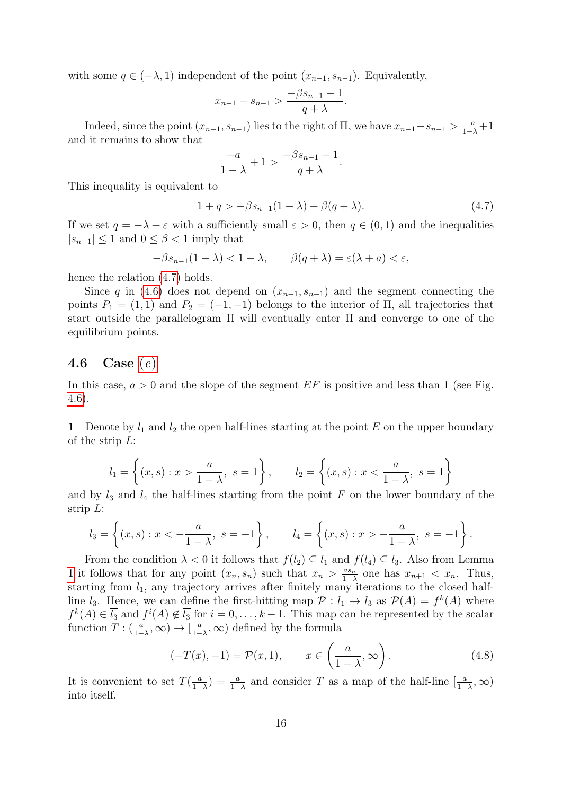with some  $q \in (-\lambda, 1)$  independent of the point  $(x_{n-1}, s_{n-1})$ . Equivalently,

$$
x_{n-1} - s_{n-1} > \frac{-\beta s_{n-1} - 1}{q + \lambda}.
$$

Indeed, since the point  $(x_{n-1}, s_{n-1})$  lies to the right of  $\Pi$ , we have  $x_{n-1} - s_{n-1} > \frac{-a}{1-\lambda} + 1$ and it remains to show that

$$
\frac{-a}{1-\lambda} + 1 > \frac{-\beta s_{n-1} - 1}{q + \lambda}
$$

This inequality is equivalent to

<span id="page-15-1"></span>
$$
1 + q > -\beta s_{n-1}(1 - \lambda) + \beta (q + \lambda). \tag{4.7}
$$

.

If we set  $q = -\lambda + \varepsilon$  with a sufficiently small  $\varepsilon > 0$ , then  $q \in (0,1)$  and the inequalities  $|s_{n-1}| \leq 1$  and  $0 \leq \beta < 1$  imply that

$$
-\beta s_{n-1}(1-\lambda) < 1-\lambda, \qquad \beta(q+\lambda) = \varepsilon(\lambda + a) < \varepsilon,
$$

hence the relation  $(4.7)$  holds.

Since q in [\(4.6\)](#page-14-1) does not depend on  $(x_{n-1}, s_{n-1})$  and the segment connecting the points  $P_1 = (1, 1)$  and  $P_2 = (-1, -1)$  belongs to the interior of  $\Pi$ , all trajectories that start outside the parallelogram Π will eventually enter Π and converge to one of the equilibrium points.

### <span id="page-15-0"></span>4.6 Cas[e](#page-4-2)  $(e)$

In this case,  $a > 0$  and the slope of the segment  $EF$  is positive and less than 1 (see Fig. [4.6\)](#page-16-0).

1 Denote by  $l_1$  and  $l_2$  the open half-lines starting at the point E on the upper boundary of the strip  $L$ :

$$
l_1 = \left\{ (x, s) : x > \frac{a}{1 - \lambda}, s = 1 \right\}, \qquad l_2 = \left\{ (x, s) : x < \frac{a}{1 - \lambda}, s = 1 \right\}
$$

and by  $l_3$  and  $l_4$  the half-lines starting from the point F on the lower boundary of the strip L:

$$
l_3 = \left\{ (x, s) : x < -\frac{a}{1 - \lambda}, s = -1 \right\}, \qquad l_4 = \left\{ (x, s) : x > -\frac{a}{1 - \lambda}, s = -1 \right\}.
$$

From the condition  $\lambda < 0$  it follows that  $f(l_2) \subseteq l_1$  and  $f(l_4) \subseteq l_3$ . Also from Lemma [1](#page-7-1) it follows that for any point  $(x_n, s_n)$  such that  $x_n > \frac{as_n}{1}$  $\frac{as_n}{1-\lambda}$  one has  $x_{n+1} < x_n$ . Thus, starting from  $l_1$ , any trajectory arrives after finitely many iterations to the closed halfline  $\overline{l_3}$ . Hence, we can define the first-hitting map  $\mathcal{P}: l_1 \to \overline{l_3}$  as  $\mathcal{P}(A) = f^k(A)$  where  $f^k(A) \in \overline{l_3}$  and  $f^i(A) \notin \overline{l_3}$  for  $i = 0, \ldots, k-1$ . This map can be represented by the scalar function  $T: (\frac{a}{1-\lambda}, \infty) \to [\frac{a}{1-\lambda}]$  $\frac{a}{1-\lambda}$ , ∞) defined by the formula

$$
(-T(x), -1) = \mathcal{P}(x, 1), \qquad x \in \left(\frac{a}{1-\lambda}, \infty\right). \tag{4.8}
$$

It is convenient to set  $T(\frac{a}{1-}$  $\frac{a}{1-\lambda}$  =  $\frac{a}{1-\lambda}$  and consider T as a map of the half-line  $\left[\frac{a}{1-\lambda}, \infty\right)$ into itself.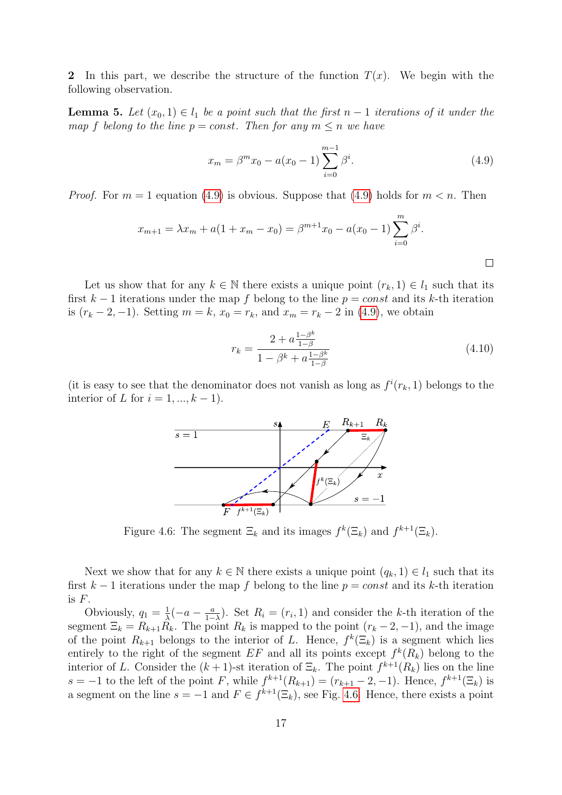2 In this part, we describe the structure of the function  $T(x)$ . We begin with the following observation.

<span id="page-16-2"></span>**Lemma 5.** Let  $(x_0, 1) \in l_1$  be a point such that the first  $n - 1$  iterations of it under the map f belong to the line  $p = const$ . Then for any  $m \leq n$  we have

<span id="page-16-1"></span>
$$
x_m = \beta^m x_0 - a(x_0 - 1) \sum_{i=0}^{m-1} \beta^i.
$$
 (4.9)

*Proof.* For  $m = 1$  equation [\(4.9\)](#page-16-1) is obvious. Suppose that (4.9) holds for  $m < n$ . Then

$$
x_{m+1} = \lambda x_m + a(1 + x_m - x_0) = \beta^{m+1} x_0 - a(x_0 - 1) \sum_{i=0}^{m} \beta^i.
$$

Let us show that for any  $k \in \mathbb{N}$  there exists a unique point  $(r_k, 1) \in l_1$  such that its first  $k-1$  iterations under the map f belong to the line  $p = const$  and its k-th iteration is  $(r_k - 2, -1)$ . Setting  $m = k$ ,  $x_0 = r_k$ , and  $x_m = r_k - 2$  in [\(4.9\)](#page-16-1), we obtain

<span id="page-16-3"></span>
$$
r_k = \frac{2 + a \frac{1 - \beta^k}{1 - \beta}}{1 - \beta^k + a \frac{1 - \beta^k}{1 - \beta}}
$$
(4.10)

<span id="page-16-0"></span>(it is easy to see that the denominator does not vanish as long as  $f^i(r_k, 1)$  belongs to the interior of L for  $i = 1, ..., k - 1$ .



Figure 4.6: The segment  $\Xi_k$  and its images  $f^k(\Xi_k)$  and  $f^{k+1}(\Xi_k)$ .

Next we show that for any  $k \in \mathbb{N}$  there exists a unique point  $(q_k, 1) \in l_1$  such that its first  $k-1$  iterations under the map f belong to the line  $p = const$  and its k-th iteration is F.

Obviously,  $q_1 = \frac{1}{\lambda}$  $\frac{1}{\lambda}(-a - \frac{a}{1-a})$  $\frac{a}{1-\lambda}$ ). Set  $R_i = (r_i, 1)$  and consider the k-th iteration of the segment  $\Xi_k = R_{k+1}R_k$ . The point  $R_k$  is mapped to the point  $(r_k - 2, -1)$ , and the image of the point  $R_{k+1}$  belongs to the interior of L. Hence,  $f^k(\Xi_k)$  is a segment which lies entirely to the right of the segment  $EF$  and all its points except  $f^k(R_k)$  belong to the interior of L. Consider the  $(k+1)$ -st iteration of  $\Xi_k$ . The point  $f^{k+1}(R_k)$  lies on the line  $s = -1$  to the left of the point F, while  $f^{k+1}(R_{k+1}) = (r_{k+1} - 2, -1)$ . Hence,  $f^{k+1}(\Xi_k)$  is a segment on the line  $s = -1$  and  $F \in f^{k+1}(\Xi_k)$ , see Fig. [4.6.](#page-16-0) Hence, there exists a point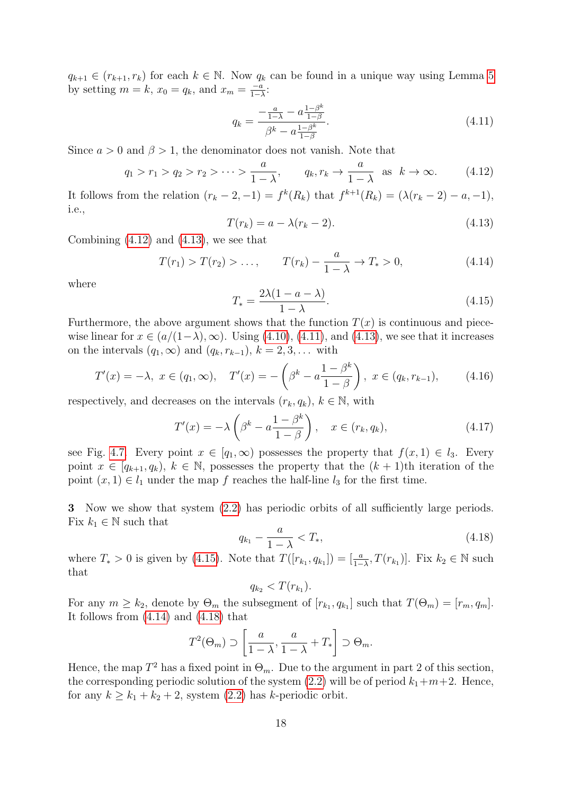$q_{k+1} \in (r_{k+1}, r_k)$  for each  $k \in \mathbb{N}$ . Now  $q_k$  can be found in a unique way using Lemma [5](#page-16-2) by setting  $m = k$ ,  $x_0 = q_k$ , and  $x_m = \frac{-a}{1 - k}$  $\frac{-a}{1-\lambda}$ :

<span id="page-17-2"></span>
$$
q_k = \frac{-\frac{a}{1-\lambda} - a\frac{1-\beta^k}{1-\beta}}{\beta^k - a\frac{1-\beta^k}{1-\beta}}.\tag{4.11}
$$

Since  $a > 0$  and  $\beta > 1$ , the denominator does not vanish. Note that

<span id="page-17-0"></span>
$$
q_1 > r_1 > q_2 > r_2 > \dots > \frac{a}{1 - \lambda}, \qquad q_k, r_k \to \frac{a}{1 - \lambda} \text{ as } k \to \infty.
$$
 (4.12)

It follows from the relation  $(r_k-2,-1) = f^k(R_k)$  that  $f^{k+1}(R_k) = (\lambda(r_k-2) - a, -1),$ i.e.,

<span id="page-17-1"></span>
$$
T(r_k) = a - \lambda(r_k - 2). \tag{4.13}
$$

Combining  $(4.12)$  and  $(4.13)$ , we see that

<span id="page-17-4"></span>
$$
T(r_1) > T(r_2) > \dots, \qquad T(r_k) - \frac{a}{1 - \lambda} \to T_* > 0,
$$
\n(4.14)

where

<span id="page-17-3"></span>
$$
T_* = \frac{2\lambda(1 - a - \lambda)}{1 - \lambda}.
$$
\n(4.15)

Furthermore, the above argument shows that the function  $T(x)$  is continuous and piecewise linear for  $x \in (a/(1-\lambda), \infty)$ . Using [\(4.10\)](#page-16-3), [\(4.11\)](#page-17-2), and [\(4.13\)](#page-17-1), we see that it increases on the intervals  $(q_1, \infty)$  and  $(q_k, r_{k-1}), k = 2, 3, \ldots$  with

<span id="page-17-7"></span>
$$
T'(x) = -\lambda, \ x \in (q_1, \infty), \quad T'(x) = -\left(\beta^k - a\frac{1 - \beta^k}{1 - \beta}\right), \ x \in (q_k, r_{k-1}), \tag{4.16}
$$

respectively, and decreases on the intervals  $(r_k, q_k)$ ,  $k \in \mathbb{N}$ , with

<span id="page-17-6"></span>
$$
T'(x) = -\lambda \left(\beta^k - a \frac{1 - \beta^k}{1 - \beta}\right), \quad x \in (r_k, q_k), \tag{4.17}
$$

see Fig. [4.7.](#page-18-0) Every point  $x \in [q_1, \infty)$  possesses the property that  $f(x, 1) \in l_3$ . Every point  $x \in [q_{k+1}, q_k)$ ,  $k \in \mathbb{N}$ , possesses the property that the  $(k+1)$ th iteration of the point  $(x, 1) \in l_1$  under the map f reaches the half-line  $l_3$  for the first time.

3 Now we show that system [\(2.2\)](#page-2-1) has periodic orbits of all sufficiently large periods. Fix  $k_1 \in \mathbb{N}$  such that

<span id="page-17-5"></span>
$$
q_{k_1} - \frac{a}{1 - \lambda} < T_*,\tag{4.18}
$$

where  $T_* > 0$  is given by [\(4.15\)](#page-17-3). Note that  $T([r_{k_1}, q_{k_1}]) = \left[\frac{a}{1-\lambda}, T(r_{k_1})\right]$ . Fix  $k_2 \in \mathbb{N}$  such that

$$
q_{k_2} < T(r_{k_1}).
$$

For any  $m \geq k_2$ , denote by  $\Theta_m$  the subsegment of  $[r_{k_1}, q_{k_1}]$  such that  $T(\Theta_m) = [r_m, q_m]$ . It follows from [\(4.14\)](#page-17-4) and [\(4.18\)](#page-17-5) that

$$
T^{2}(\Theta_{m}) \supset \left[\frac{a}{1-\lambda}, \frac{a}{1-\lambda} + T_{*}\right] \supset \Theta_{m}.
$$

Hence, the map  $T^2$  has a fixed point in  $\Theta_m$ . Due to the argument in part 2 of this section, the corresponding periodic solution of the system  $(2.2)$  will be of period  $k_1+m+2$ . Hence, for any  $k \geq k_1 + k_2 + 2$ , system  $(2.2)$  has k-periodic orbit.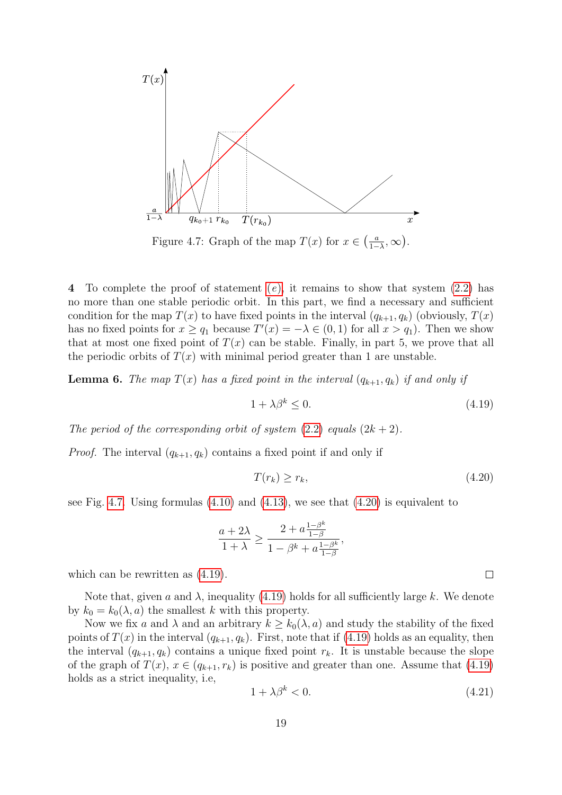<span id="page-18-0"></span>

Figure 4.7: Graph of the map  $T(x)$  for  $x \in \left(\frac{a}{1-x}\right)$  $\frac{a}{1-\lambda}, \infty$ ).

4 To compl[e](#page-4-2)te the proof of statement  $(e)$ , it remains to show that system  $(2.2)$  has no more than one stable periodic orbit. In this part, we find a necessary and sufficient condition for the map  $T(x)$  to have fixed points in the interval  $(q_{k+1}, q_k)$  (obviously,  $T(x)$ ) has no fixed points for  $x \ge q_1$  because  $T'(x) = -\lambda \in (0,1)$  for all  $x > q_1$ ). Then we show that at most one fixed point of  $T(x)$  can be stable. Finally, in part 5, we prove that all the periodic orbits of  $T(x)$  with minimal period greater than 1 are unstable.

<span id="page-18-4"></span>**Lemma 6.** The map  $T(x)$  has a fixed point in the interval  $(q_{k+1}, q_k)$  if and only if

<span id="page-18-2"></span>
$$
1 + \lambda \beta^k \le 0. \tag{4.19}
$$

The period of the corresponding orbit of system  $(2.2)$  equals  $(2k+2)$ .

*Proof.* The interval  $(q_{k+1}, q_k)$  contains a fixed point if and only if

<span id="page-18-1"></span>
$$
T(r_k) \ge r_k,\tag{4.20}
$$

see Fig. [4.7.](#page-18-0) Using formulas  $(4.10)$  and  $(4.13)$ , we see that  $(4.20)$  is equivalent to

$$
\frac{a+2\lambda}{1+\lambda} \geq \frac{2+a\frac{1-\beta^k}{1-\beta}}{1-\beta^k + a\frac{1-\beta^k}{1-\beta}},
$$

which can be rewritten as [\(4.19\)](#page-18-2).

Note that, given a and  $\lambda$ , inequality [\(4.19\)](#page-18-2) holds for all sufficiently large k. We denote by  $k_0 = k_0(\lambda, a)$  the smallest k with this property.

Now we fix a and  $\lambda$  and an arbitrary  $k \geq k_0(\lambda, a)$  and study the stability of the fixed points of  $T(x)$  in the interval  $(q_{k+1}, q_k)$ . First, note that if [\(4.19\)](#page-18-2) holds as an equality, then the interval  $(q_{k+1}, q_k)$  contains a unique fixed point  $r_k$ . It is unstable because the slope of the graph of  $T(x)$ ,  $x \in (q_{k+1}, r_k)$  is positive and greater than one. Assume that [\(4.19\)](#page-18-2) holds as a strict inequality, i.e,

<span id="page-18-3"></span>
$$
1 + \lambda \beta^k < 0. \tag{4.21}
$$

 $\Box$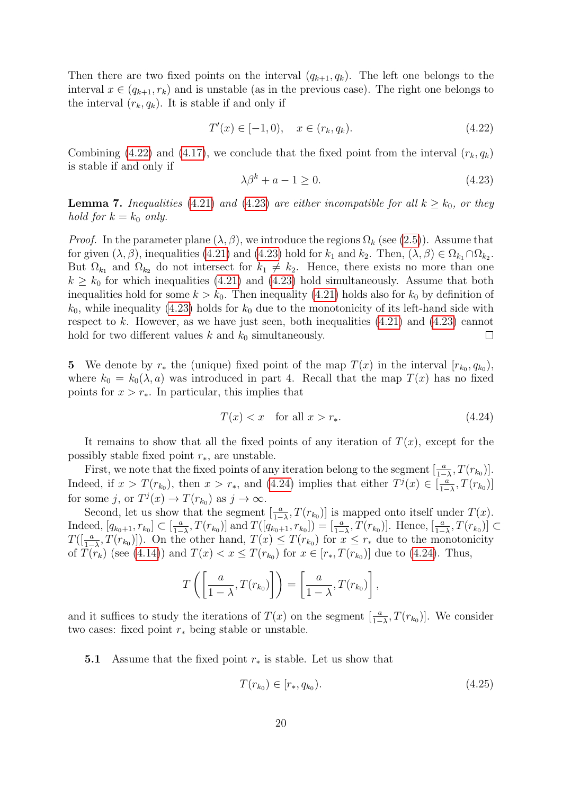Then there are two fixed points on the interval  $(q_{k+1}, q_k)$ . The left one belongs to the interval  $x \in (q_{k+1}, r_k)$  and is unstable (as in the previous case). The right one belongs to the interval  $(r_k, q_k)$ . It is stable if and only if

<span id="page-19-0"></span>
$$
T'(x) \in [-1, 0), \quad x \in (r_k, q_k). \tag{4.22}
$$

Combining [\(4.22\)](#page-19-0) and [\(4.17\)](#page-17-6), we conclude that the fixed point from the interval  $(r_k, q_k)$ is stable if and only if

<span id="page-19-1"></span>
$$
\lambda \beta^k + a - 1 \ge 0. \tag{4.23}
$$

<span id="page-19-4"></span>**Lemma 7.** Inequalities [\(4.21\)](#page-18-3) and [\(4.23\)](#page-19-1) are either incompatible for all  $k \geq k_0$ , or they hold for  $k = k_0$  only.

*Proof.* In the parameter plane  $(\lambda, \beta)$ , we introduce the regions  $\Omega_k$  (see [\(2.5\)](#page-4-5)). Assume that for given  $(\lambda, \beta)$ , inequalities [\(4.21\)](#page-18-3) and [\(4.23\)](#page-19-1) hold for  $k_1$  and  $k_2$ . Then,  $(\lambda, \beta) \in \Omega_{k_1} \cap \Omega_{k_2}$ . But  $\Omega_{k_1}$  and  $\Omega_{k_2}$  do not intersect for  $k_1 \neq k_2$ . Hence, there exists no more than one  $k \geq k_0$  for which inequalities [\(4.21\)](#page-18-3) and [\(4.23\)](#page-19-1) hold simultaneously. Assume that both inequalities hold for some  $k > k_0$ . Then inequality [\(4.21\)](#page-18-3) holds also for  $k_0$  by definition of  $k_0$ , while inequality [\(4.23\)](#page-19-1) holds for  $k_0$  due to the monotonicity of its left-hand side with respect to k. However, as we have just seen, both inequalities  $(4.21)$  and  $(4.23)$  cannot hold for two different values  $k$  and  $k_0$  simultaneously.  $\Box$ 

5 We denote by  $r_*$  the (unique) fixed point of the map  $T(x)$  in the interval  $[r_{k_0}, q_{k_0})$ , where  $k_0 = k_0(\lambda, a)$  was introduced in part 4. Recall that the map  $T(x)$  has no fixed points for  $x > r_*$ . In particular, this implies that

<span id="page-19-2"></span>
$$
T(x) < x \quad \text{for all } x > r_*. \tag{4.24}
$$

It remains to show that all the fixed points of any iteration of  $T(x)$ , except for the possibly stable fixed point  $r_*,$  are unstable.

First, we note that the fixed points of any iteration belong to the segment  $\left[\frac{a}{1-\lambda}, T(r_{k_0})\right]$ . Indeed, if  $x > T(r_{k_0})$ , then  $x > r_*$ , and [\(4.24\)](#page-19-2) implies that either  $T<sup>j</sup>(x) \in \left[\frac{a}{1-r}\right]$  $\frac{a}{1-\lambda}, T(r_{k_0})]$ for some j, or  $T^j(x) \to T(r_{k_0})$  as  $j \to \infty$ .

Second, let us show that the segment  $\left[\frac{a}{1-\lambda}, T(r_{k_0})\right]$  is mapped onto itself under  $T(x)$ . Indeed,  $[q_{k_0+1}, r_{k_0}] \subset \left[\frac{a}{1-a}\right]$  $\frac{a}{1-\lambda}, T(r_{k_0})$  and  $T([q_{k_0+1}, r_{k_0}]) = [\frac{a}{1-\lambda}, T(r_{k_0})]$ . Hence,  $[\frac{a}{1-\lambda}, T(r_{k_0})] \subset$  $T([\frac{a}{1-\lambda}, T(r_{k_0})])$ . On the other hand,  $T(x) \leq T(r_{k_0})$  for  $x \leq r_*$  due to the monotonicity of  $T(r_k)$  (see [\(4.14\)](#page-17-4)) and  $T(x) < x \leq T(r_{k_0})$  for  $x \in [r_*, T(r_{k_0})]$  due to [\(4.24\)](#page-19-2). Thus,

$$
T\left(\left[\frac{a}{1-\lambda}, T(r_{k_0})\right]\right) = \left[\frac{a}{1-\lambda}, T(r_{k_0})\right],
$$

and it suffices to study the iterations of  $T(x)$  on the segment  $\left[\frac{a}{1-\lambda}, T(r_{k_0})\right]$ . We consider two cases: fixed point  $r_*$  being stable or unstable.

**5.1** Assume that the fixed point  $r_*$  is stable. Let us show that

<span id="page-19-3"></span>
$$
T(r_{k_0}) \in [r_*, q_{k_0}). \tag{4.25}
$$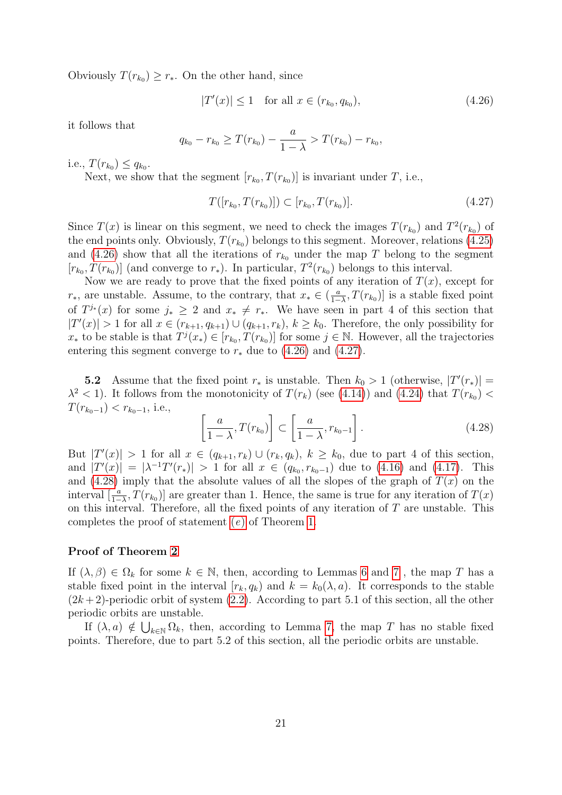Obviously  $T(r_{k_0}) \geq r_*$ . On the other hand, since

<span id="page-20-0"></span>
$$
|T'(x)| \le 1 \quad \text{for all } x \in (r_{k_0}, q_{k_0}),\tag{4.26}
$$

it follows that

$$
q_{k_0} - r_{k_0} \ge T(r_{k_0}) - \frac{a}{1 - \lambda} > T(r_{k_0}) - r_{k_0},
$$

i.e.,  $T(r_{k_0}) \leq q_{k_0}$ .

Next, we show that the segment  $[r_{k_0}, T(r_{k_0})]$  is invariant under T, i.e.,

<span id="page-20-1"></span>
$$
T([r_{k_0}, T(r_{k_0})]) \subset [r_{k_0}, T(r_{k_0})]. \tag{4.27}
$$

Since  $T(x)$  is linear on this segment, we need to check the images  $T(r_{k_0})$  and  $T^2(r_{k_0})$  of the end points only. Obviously,  $T(r_{k_0})$  belongs to this segment. Moreover, relations [\(4.25\)](#page-19-3) and [\(4.26\)](#page-20-0) show that all the iterations of  $r_{k_0}$  under the map T belong to the segment  $[r_{k_0}, T(r_{k_0})]$  (and converge to  $r_*$ ). In particular,  $T^2(r_{k_0})$  belongs to this interval.

Now we are ready to prove that the fixed points of any iteration of  $T(x)$ , except for  $r_*,$  are unstable. Assume, to the contrary, that  $x_* \in \left(\frac{a}{1-r}\right)$  $\frac{a}{1-\lambda}$ ,  $T(r_{k_0})$  is a stable fixed point of  $T^{j*}(x)$  for some  $j_* \geq 2$  and  $x_* \neq r_*$ . We have seen in part 4 of this section that  $|T'(x)| > 1$  for all  $x \in (r_{k+1}, q_{k+1}) \cup (q_{k+1}, r_k)$ ,  $k \geq k_0$ . Therefore, the only possibility for  $x_*$  to be stable is that  $T^j(x_*) \in [r_{k_0}, T(r_{k_0})]$  for some  $j \in \mathbb{N}$ . However, all the trajectories entering this segment converge to  $r_*$  due to [\(4.26\)](#page-20-0) and [\(4.27\)](#page-20-1).

**5.2** Assume that the fixed point  $r_*$  is unstable. Then  $k_0 > 1$  (otherwise,  $|T'(r_*)|$  =  $\lambda^2$  < 1). It follows from the monotonicity of  $T(r_k)$  (see [\(4.14\)](#page-17-4)) and [\(4.24\)](#page-19-2) that  $T(r_{k_0})$  <  $T(r_{k_0-1}) < r_{k_0-1}$ , i.e.,

<span id="page-20-2"></span>
$$
\left[\frac{a}{1-\lambda}, T(r_{k_0})\right] \subset \left[\frac{a}{1-\lambda}, r_{k_0-1}\right].\tag{4.28}
$$

But  $|T'(x)| > 1$  for all  $x \in (q_{k+1}, r_k) \cup (r_k, q_k), k \geq k_0$ , due to part 4 of this section, and  $|T'(x)| = |\lambda^{-1}T'(r_*)| > 1$  for all  $x \in (q_{k_0}, r_{k_0-1})$  due to [\(4.16\)](#page-17-7) and [\(4.17\)](#page-17-6). This and [\(4.28\)](#page-20-2) imply that the absolute values of all the slopes of the graph of  $T(x)$  on the interval  $\left[\frac{a}{1-\lambda}, T(r_{k_0})\right]$  are greater than 1. Hence, the same is true for any iteration of  $T(x)$ on this interval. Therefore, all the fixed points of any iteration of  $T$  are unstable. This completes the proof of statement [\(](#page-4-2)e) of Theorem [1.](#page-3-2)

#### Proof of Theorem [2](#page-4-3)

If  $(\lambda, \beta) \in \Omega_k$  for some  $k \in \mathbb{N}$ , then, according to Lemmas [6](#page-18-4) and [7](#page-19-4), the map T has a stable fixed point in the interval  $[r_k, q_k]$  and  $k = k_0(\lambda, a)$ . It corresponds to the stable  $(2k+2)$ -periodic orbit of system  $(2.2)$ . According to part 5.1 of this section, all the other periodic orbits are unstable.

If  $(\lambda, a) \notin \bigcup_{k \in \mathbb{N}} \Omega_k$ , then, according to Lemma [7,](#page-19-4) the map T has no stable fixed points. Therefore, due to part 5.2 of this section, all the periodic orbits are unstable.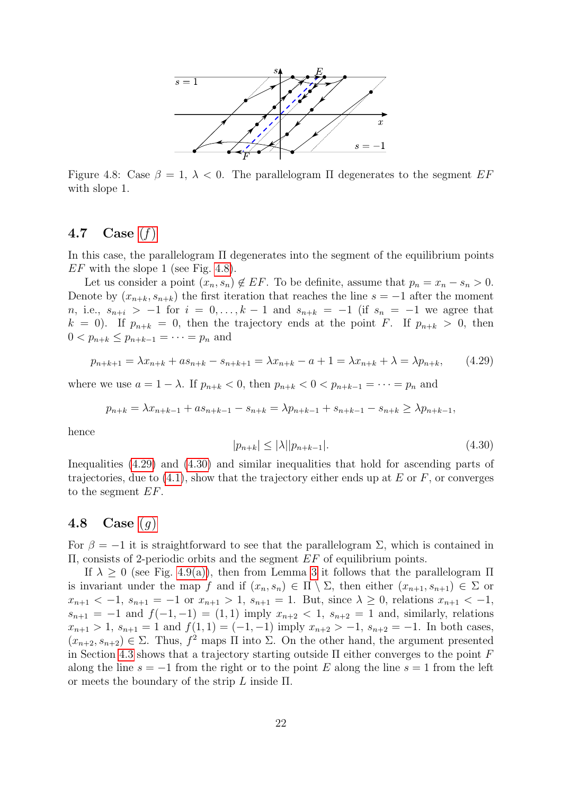<span id="page-21-2"></span>

Figure 4.8: Case  $\beta = 1, \lambda < 0$ . The parallelogram  $\Pi$  degenerates to the segment EF with slope 1.

## <span id="page-21-0"></span>4.7 Case  $(f)$  $(f)$

In this case, the parallelogram Π degenerates into the segment of the equilibrium points  $EF$  with the slope 1 (see Fig. [4.8\)](#page-21-2).

Let us consider a point  $(x_n, s_n) \notin EF$ . To be definite, assume that  $p_n = x_n - s_n > 0$ . Denote by  $(x_{n+k}, s_{n+k})$  the first iteration that reaches the line  $s = -1$  after the moment n, i.e.,  $s_{n+i} > -1$  for  $i = 0, ..., k-1$  and  $s_{n+k} = -1$  (if  $s_n = -1$  we agree that  $k = 0$ . If  $p_{n+k} = 0$ , then the trajectory ends at the point F. If  $p_{n+k} > 0$ , then  $0 < p_{n+k} \leq p_{n+k-1} = \cdots = p_n$  and

<span id="page-21-3"></span>
$$
p_{n+k+1} = \lambda x_{n+k} + a s_{n+k} - s_{n+k+1} = \lambda x_{n+k} - a + 1 = \lambda x_{n+k} + \lambda = \lambda p_{n+k}, \qquad (4.29)
$$

where we use  $a = 1 - \lambda$ . If  $p_{n+k} < 0$ , then  $p_{n+k} < 0 < p_{n+k-1} = \cdots = p_n$  and

$$
p_{n+k} = \lambda x_{n+k-1} + a s_{n+k-1} - s_{n+k} = \lambda p_{n+k-1} + s_{n+k-1} - s_{n+k} \ge \lambda p_{n+k-1},
$$

hence

<span id="page-21-4"></span>
$$
|p_{n+k}| \le |\lambda| |p_{n+k-1}|. \tag{4.30}
$$

Inequalities [\(4.29\)](#page-21-3) and [\(4.30\)](#page-21-4) and similar inequalities that hold for ascending parts of trajectories, due to  $(4.1)$ , show that the trajectory either ends up at E or F, or converges to the segment EF.

#### <span id="page-21-1"></span>4.8 Case  $(q)$

For  $\beta = -1$  it is straightforward to see that the parallelogram  $\Sigma$ , which is contained in Π, consists of 2-periodic orbits and the segment EF of equilibrium points.

If  $\lambda \geq 0$  (see Fig. [4.9\(a\)\)](#page-22-6), then from Lemma [3](#page-7-4) it follows that the parallelogram  $\Pi$ is invariant under the map f and if  $(x_n, s_n) \in \Pi \setminus \Sigma$ , then either  $(x_{n+1}, s_{n+1}) \in \Sigma$  or  $x_{n+1} < -1$ ,  $s_{n+1} = -1$  or  $x_{n+1} > 1$ ,  $s_{n+1} = 1$ . But, since  $\lambda \geq 0$ , relations  $x_{n+1} < -1$ ,  $s_{n+1} = -1$  and  $f(-1, -1) = (1, 1)$  imply  $x_{n+2} < 1$ ,  $s_{n+2} = 1$  and, similarly, relations  $x_{n+1} > 1$ ,  $s_{n+1} = 1$  and  $f(1, 1) = (-1, -1)$  imply  $x_{n+2} > -1$ ,  $s_{n+2} = -1$ . In both cases,  $(x_{n+2}, s_{n+2}) \in \Sigma$ . Thus,  $f^2$  maps  $\Pi$  into  $\Sigma$ . On the other hand, the argument presented in Section [4.3](#page-10-0) shows that a trajectory starting outside  $\Pi$  either converges to the point  $F$ along the line  $s = -1$  from the right or to the point E along the line  $s = 1$  from the left or meets the boundary of the strip  $L$  inside  $\Pi$ .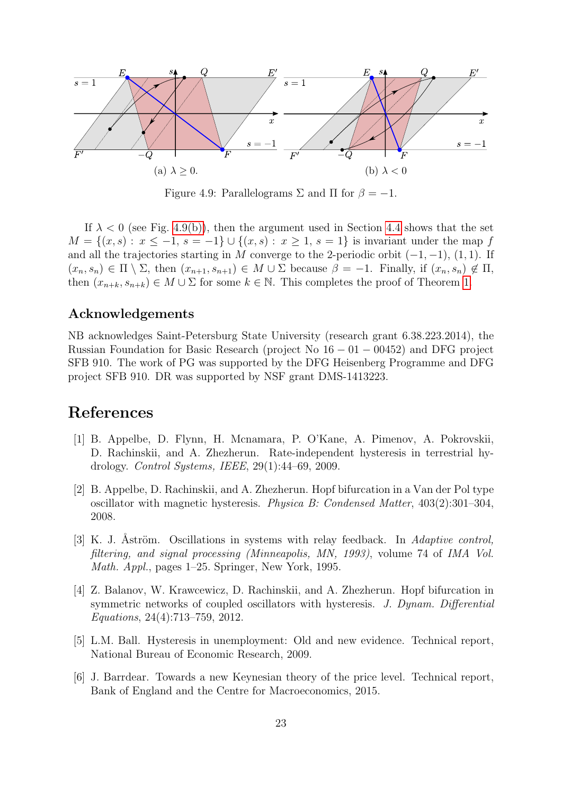<span id="page-22-6"></span>

Figure 4.9: Parallelograms  $\Sigma$  and  $\Pi$  for  $\beta = -1$ .

If  $\lambda < 0$  (see Fig. [4.9\(b\)\)](#page-22-6), then the argument used in Section [4.4](#page-12-0) shows that the set  $M = \{(x, s): x \leq -1, s = -1\} \cup \{(x, s): x \geq 1, s = 1\}$  is invariant under the map f and all the trajectories starting in M converge to the 2-periodic orbit  $(-1, -1)$ ,  $(1, 1)$ . If  $(x_n, s_n) \in \Pi \setminus \Sigma$ , then  $(x_{n+1}, s_{n+1}) \in M \cup \Sigma$  because  $\beta = -1$ . Finally, if  $(x_n, s_n) \notin \Pi$ , then  $(x_{n+k}, s_{n+k}) \in M \cup \Sigma$  for some  $k \in \mathbb{N}$ . This completes the proof of Theorem [1.](#page-3-2)

### Acknowledgements

NB acknowledges Saint-Petersburg State University (research grant 6.38.223.2014), the Russian Foundation for Basic Research (project No  $16 - 01 - 00452$ ) and DFG project SFB 910. The work of PG was supported by the DFG Heisenberg Programme and DFG project SFB 910. DR was supported by NSF grant DMS-1413223.

# References

- <span id="page-22-0"></span>[1] B. Appelbe, D. Flynn, H. Mcnamara, P. O'Kane, A. Pimenov, A. Pokrovskii, D. Rachinskii, and A. Zhezherun. Rate-independent hysteresis in terrestrial hydrology. Control Systems, IEEE, 29(1):44–69, 2009.
- <span id="page-22-1"></span>[2] B. Appelbe, D. Rachinskii, and A. Zhezherun. Hopf bifurcation in a Van der Pol type oscillator with magnetic hysteresis. Physica B: Condensed Matter, 403(2):301–304, 2008.
- <span id="page-22-3"></span>[3] K. J. Aström. Oscillations in systems with relay feedback. In Adaptive control, filtering, and signal processing (Minneapolis, MN, 1993), volume 74 of IMA Vol. Math. Appl., pages 1–25. Springer, New York, 1995.
- <span id="page-22-2"></span>[4] Z. Balanov, W. Krawcewicz, D. Rachinskii, and A. Zhezherun. Hopf bifurcation in symmetric networks of coupled oscillators with hysteresis. J. Dynam. Differential Equations, 24(4):713–759, 2012.
- <span id="page-22-4"></span>[5] L.M. Ball. Hysteresis in unemployment: Old and new evidence. Technical report, National Bureau of Economic Research, 2009.
- <span id="page-22-5"></span>[6] J. Barrdear. Towards a new Keynesian theory of the price level. Technical report, Bank of England and the Centre for Macroeconomics, 2015.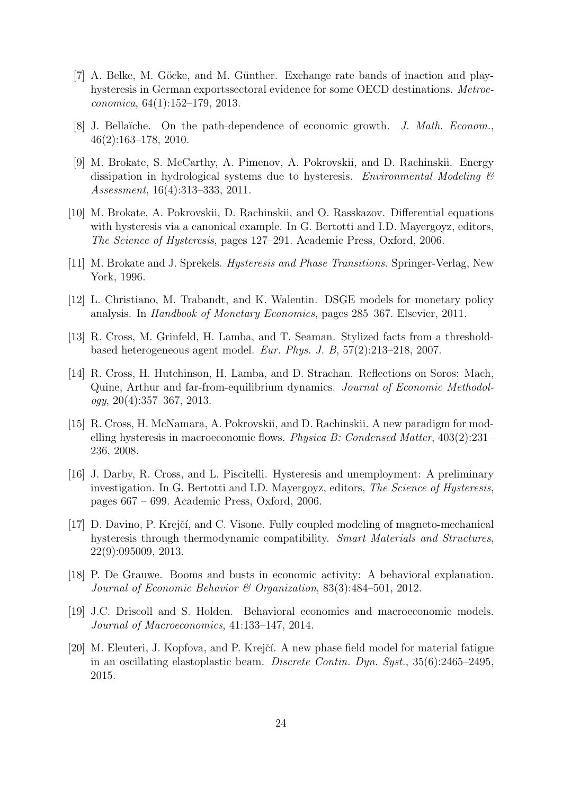- <span id="page-23-10"></span>[7] A. Belke, M. Göcke, and M. Günther. Exchange rate bands of inaction and playhysteresis in German exportssectoral evidence for some OECD destinations. Metroeconomica, 64(1):152–179, 2013.
- <span id="page-23-7"></span>[8] J. Bellaïche. On the path-dependence of economic growth. J. Math. Econom., 46(2):163–178, 2010.
- <span id="page-23-2"></span>[9] M. Brokate, S. McCarthy, A. Pimenov, A. Pokrovskii, and D. Rachinskii. Energy dissipation in hydrological systems due to hysteresis. Environmental Modeling  $\mathcal{B}$ Assessment, 16(4):313–333, 2011.
- <span id="page-23-6"></span>[10] M. Brokate, A. Pokrovskii, D. Rachinskii, and O. Rasskazov. Differential equations with hysteresis via a canonical example. In G. Bertotti and I.D. Mayergoyz, editors, The Science of Hysteresis, pages 127–291. Academic Press, Oxford, 2006.
- <span id="page-23-3"></span>[11] M. Brokate and J. Sprekels. Hysteresis and Phase Transitions. Springer-Verlag, New York, 1996.
- <span id="page-23-12"></span>[12] L. Christiano, M. Trabandt, and K. Walentin. DSGE models for monetary policy analysis. In Handbook of Monetary Economics, pages 285–367. Elsevier, 2011.
- <span id="page-23-4"></span>[13] R. Cross, M. Grinfeld, H. Lamba, and T. Seaman. Stylized facts from a thresholdbased heterogeneous agent model. Eur. Phys. J. B, 57(2):213–218, 2007.
- <span id="page-23-9"></span>[14] R. Cross, H. Hutchinson, H. Lamba, and D. Strachan. Reflections on Soros: Mach, Quine, Arthur and far-from-equilibrium dynamics. Journal of Economic Methodol $oqy, 20(4):357-367, 2013.$
- <span id="page-23-5"></span>[15] R. Cross, H. McNamara, A. Pokrovskii, and D. Rachinskii. A new paradigm for modelling hysteresis in macroeconomic flows. Physica B: Condensed Matter, 403(2):231– 236, 2008.
- <span id="page-23-11"></span>[16] J. Darby, R. Cross, and L. Piscitelli. Hysteresis and unemployment: A preliminary investigation. In G. Bertotti and I.D. Mayergoyz, editors, The Science of Hysteresis, pages 667 – 699. Academic Press, Oxford, 2006.
- <span id="page-23-1"></span>[17] D. Davino, P. Krejčí, and C. Visone. Fully coupled modeling of magneto-mechanical hysteresis through thermodynamic compatibility. Smart Materials and Structures, 22(9):095009, 2013.
- <span id="page-23-13"></span>[18] P. De Grauwe. Booms and busts in economic activity: A behavioral explanation. Journal of Economic Behavior & Organization, 83(3):484–501, 2012.
- <span id="page-23-8"></span>[19] J.C. Driscoll and S. Holden. Behavioral economics and macroeconomic models. Journal of Macroeconomics, 41:133–147, 2014.
- <span id="page-23-0"></span>[20] M. Eleuteri, J. Kopfova, and P. Krejčí. A new phase field model for material fatigue in an oscillating elastoplastic beam. Discrete Contin. Dyn. Syst., 35(6):2465–2495, 2015.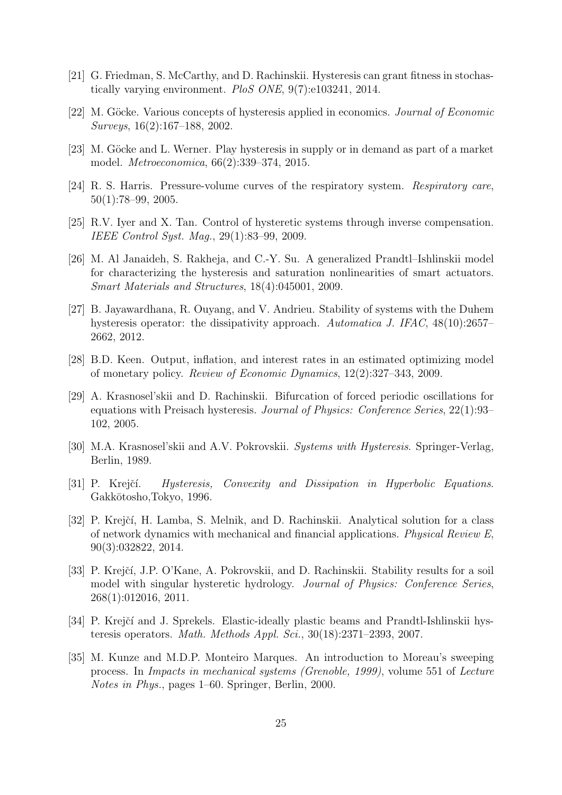- <span id="page-24-6"></span>[21] G. Friedman, S. McCarthy, and D. Rachinskii. Hysteresis can grant fitness in stochastically varying environment. PloS ONE, 9(7):e103241, 2014.
- <span id="page-24-12"></span>[22] M. Göcke. Various concepts of hysteresis applied in economics. *Journal of Economic* Surveys, 16(2):167–188, 2002.
- <span id="page-24-13"></span>[23] M. Göcke and L. Werner. Play hysteresis in supply or in demand as part of a market model. Metroeconomica, 66(2):339–374, 2015.
- <span id="page-24-7"></span>[24] R. S. Harris. Pressure-volume curves of the respiratory system. Respiratory care, 50(1):78–99, 2005.
- <span id="page-24-3"></span>[25] R.V. Iyer and X. Tan. Control of hysteretic systems through inverse compensation. IEEE Control Syst. Mag., 29(1):83–99, 2009.
- <span id="page-24-4"></span>[26] M. Al Janaideh, S. Rakheja, and C.-Y. Su. A generalized Prandtl–Ishlinskii model for characterizing the hysteresis and saturation nonlinearities of smart actuators. Smart Materials and Structures, 18(4):045001, 2009.
- <span id="page-24-11"></span>[27] B. Jayawardhana, R. Ouyang, and V. Andrieu. Stability of systems with the Duhem hysteresis operator: the dissipativity approach. Automatica J. IFAC, 48(10):2657– 2662, 2012.
- <span id="page-24-14"></span>[28] B.D. Keen. Output, inflation, and interest rates in an estimated optimizing model of monetary policy. Review of Economic Dynamics, 12(2):327–343, 2009.
- <span id="page-24-9"></span>[29] A. Krasnosel'skii and D. Rachinskii. Bifurcation of forced periodic oscillations for equations with Preisach hysteresis. Journal of Physics: Conference Series, 22(1):93– 102, 2005.
- <span id="page-24-1"></span>[30] M.A. Krasnosel'skii and A.V. Pokrovskii. Systems with Hysteresis. Springer-Verlag, Berlin, 1989.
- <span id="page-24-0"></span>[31] P. Krejčí. Hysteresis, Convexity and Dissipation in Hyperbolic Equations. Gakkōtosho,Tokyo, 1996.
- <span id="page-24-8"></span>[32] P. Krejčí, H. Lamba, S. Melnik, and D. Rachinskii. Analytical solution for a class of network dynamics with mechanical and financial applications. Physical Review E, 90(3):032822, 2014.
- <span id="page-24-5"></span>[33] P. Krejčí, J.P. O'Kane, A. Pokrovskii, and D. Rachinskii. Stability results for a soil model with singular hysteretic hydrology. Journal of Physics: Conference Series, 268(1):012016, 2011.
- <span id="page-24-2"></span>[34] P. Krejčí and J. Sprekels. Elastic-ideally plastic beams and Prandtl-Ishlinskii hysteresis operators. Math. Methods Appl. Sci., 30(18):2371–2393, 2007.
- <span id="page-24-10"></span>[35] M. Kunze and M.D.P. Monteiro Marques. An introduction to Moreau's sweeping process. In Impacts in mechanical systems (Grenoble, 1999), volume 551 of Lecture Notes in Phys., pages 1–60. Springer, Berlin, 2000.